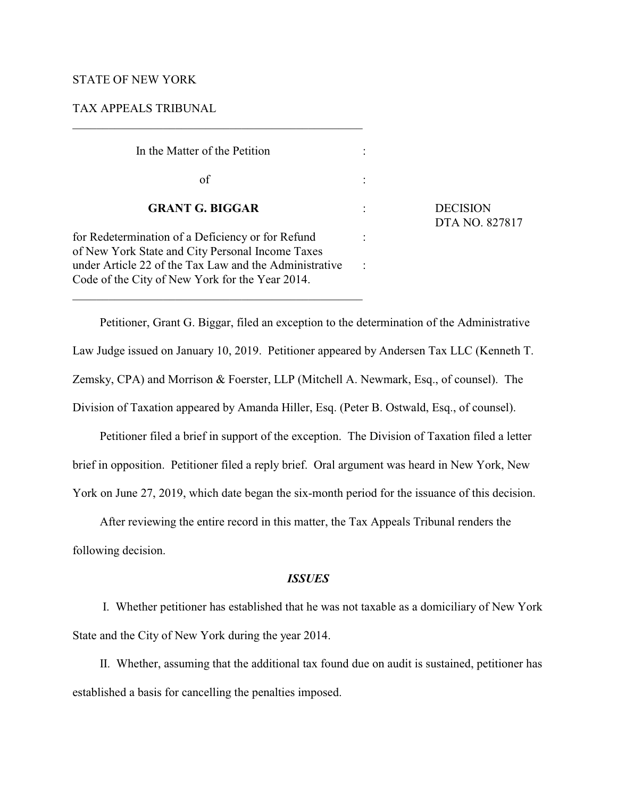### STATE OF NEW YORK

### TAX APPEALS TRIBUNAL

 In the Matter of the Petition :  $\sigma$  of  $\sigma$ : **GRANT G. BIGGAR** : DECISION for Redetermination of a Deficiency or for Refund : of New York State and City Personal Income Taxes under Article 22 of the Tax Law and the Administrative : Code of the City of New York for the Year 2014.

\_\_\_\_\_\_\_\_\_\_\_\_\_\_\_\_\_\_\_\_\_\_\_\_\_\_\_\_\_\_\_\_\_\_\_\_\_\_\_\_\_\_\_\_\_\_\_\_

DTA NO. 827817

Petitioner, Grant G. Biggar, filed an exception to the determination of the Administrative Law Judge issued on January 10, 2019. Petitioner appeared by Andersen Tax LLC (Kenneth T. Zemsky, CPA) and Morrison & Foerster, LLP (Mitchell A. Newmark, Esq., of counsel). The Division of Taxation appeared by Amanda Hiller, Esq. (Peter B. Ostwald, Esq., of counsel).

Petitioner filed a brief in support of the exception. The Division of Taxation filed a letter brief in opposition. Petitioner filed a reply brief. Oral argument was heard in New York, New York on June 27, 2019, which date began the six-month period for the issuance of this decision.

After reviewing the entire record in this matter, the Tax Appeals Tribunal renders the following decision.

### *ISSUES*

 I. Whether petitioner has established that he was not taxable as a domiciliary of New York State and the City of New York during the year 2014.

II. Whether, assuming that the additional tax found due on audit is sustained, petitioner has established a basis for cancelling the penalties imposed.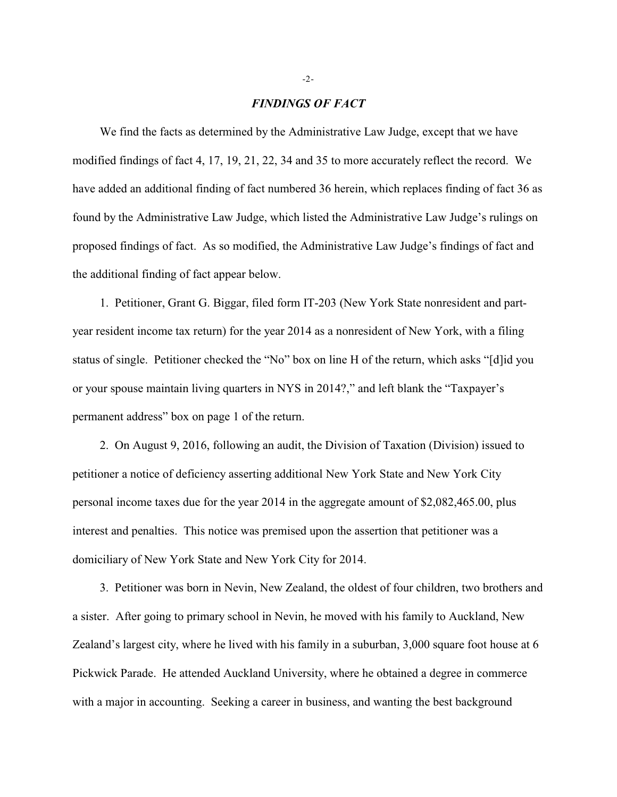#### *FINDINGS OF FACT*

We find the facts as determined by the Administrative Law Judge, except that we have modified findings of fact 4, 17, 19, 21, 22, 34 and 35 to more accurately reflect the record. We have added an additional finding of fact numbered 36 herein, which replaces finding of fact 36 as found by the Administrative Law Judge, which listed the Administrative Law Judge's rulings on proposed findings of fact. As so modified, the Administrative Law Judge's findings of fact and the additional finding of fact appear below.

1. Petitioner, Grant G. Biggar, filed form IT-203 (New York State nonresident and partyear resident income tax return) for the year 2014 as a nonresident of New York, with a filing status of single. Petitioner checked the "No" box on line H of the return, which asks "[d]id you or your spouse maintain living quarters in NYS in 2014?," and left blank the "Taxpayer's permanent address" box on page 1 of the return.

2. On August 9, 2016, following an audit, the Division of Taxation (Division) issued to petitioner a notice of deficiency asserting additional New York State and New York City personal income taxes due for the year 2014 in the aggregate amount of \$2,082,465.00, plus interest and penalties. This notice was premised upon the assertion that petitioner was a domiciliary of New York State and New York City for 2014.

3. Petitioner was born in Nevin, New Zealand, the oldest of four children, two brothers and a sister. After going to primary school in Nevin, he moved with his family to Auckland, New Zealand's largest city, where he lived with his family in a suburban, 3,000 square foot house at 6 Pickwick Parade. He attended Auckland University, where he obtained a degree in commerce with a major in accounting. Seeking a career in business, and wanting the best background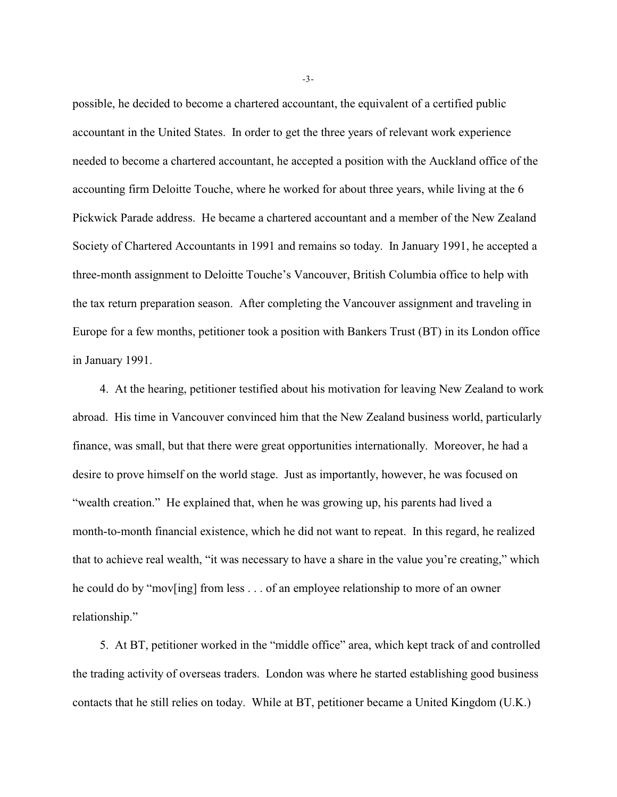possible, he decided to become a chartered accountant, the equivalent of a certified public accountant in the United States. In order to get the three years of relevant work experience needed to become a chartered accountant, he accepted a position with the Auckland office of the accounting firm Deloitte Touche, where he worked for about three years, while living at the 6 Pickwick Parade address. He became a chartered accountant and a member of the New Zealand Society of Chartered Accountants in 1991 and remains so today. In January 1991, he accepted a three-month assignment to Deloitte Touche's Vancouver, British Columbia office to help with the tax return preparation season. After completing the Vancouver assignment and traveling in Europe for a few months, petitioner took a position with Bankers Trust (BT) in its London office in January 1991.

4. At the hearing, petitioner testified about his motivation for leaving New Zealand to work abroad. His time in Vancouver convinced him that the New Zealand business world, particularly finance, was small, but that there were great opportunities internationally. Moreover, he had a desire to prove himself on the world stage. Just as importantly, however, he was focused on "wealth creation." He explained that, when he was growing up, his parents had lived a month-to-month financial existence, which he did not want to repeat. In this regard, he realized that to achieve real wealth, "it was necessary to have a share in the value you're creating," which he could do by "mov[ing] from less . . . of an employee relationship to more of an owner relationship."

5. At BT, petitioner worked in the "middle office" area, which kept track of and controlled the trading activity of overseas traders. London was where he started establishing good business contacts that he still relies on today. While at BT, petitioner became a United Kingdom (U.K.)

-3-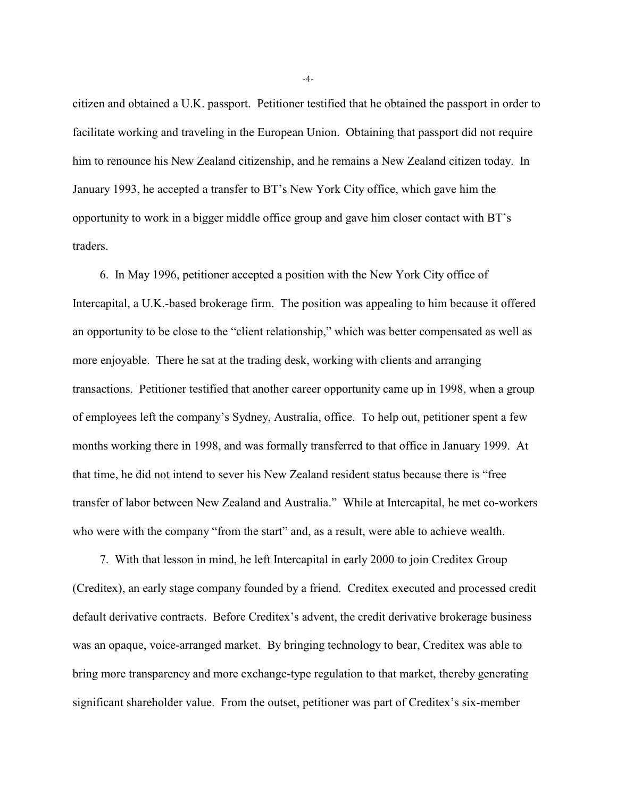citizen and obtained a U.K. passport. Petitioner testified that he obtained the passport in order to facilitate working and traveling in the European Union. Obtaining that passport did not require him to renounce his New Zealand citizenship, and he remains a New Zealand citizen today. In January 1993, he accepted a transfer to BT's New York City office, which gave him the opportunity to work in a bigger middle office group and gave him closer contact with BT's traders.

6. In May 1996, petitioner accepted a position with the New York City office of Intercapital, a U.K.-based brokerage firm. The position was appealing to him because it offered an opportunity to be close to the "client relationship," which was better compensated as well as more enjoyable. There he sat at the trading desk, working with clients and arranging transactions. Petitioner testified that another career opportunity came up in 1998, when a group of employees left the company's Sydney, Australia, office. To help out, petitioner spent a few months working there in 1998, and was formally transferred to that office in January 1999. At that time, he did not intend to sever his New Zealand resident status because there is "free transfer of labor between New Zealand and Australia." While at Intercapital, he met co-workers who were with the company "from the start" and, as a result, were able to achieve wealth.

7. With that lesson in mind, he left Intercapital in early 2000 to join Creditex Group (Creditex), an early stage company founded by a friend. Creditex executed and processed credit default derivative contracts. Before Creditex's advent, the credit derivative brokerage business was an opaque, voice-arranged market. By bringing technology to bear, Creditex was able to bring more transparency and more exchange-type regulation to that market, thereby generating significant shareholder value. From the outset, petitioner was part of Creditex's six-member

-4-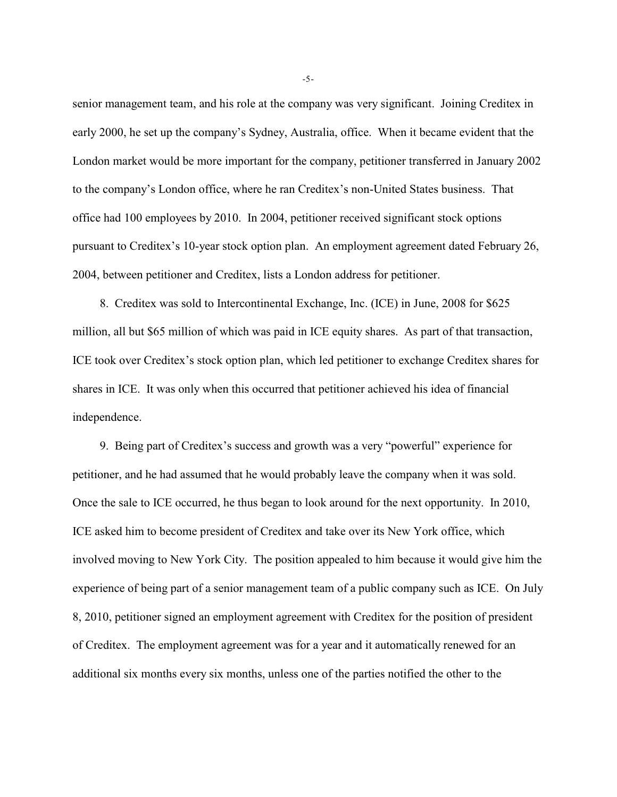senior management team, and his role at the company was very significant. Joining Creditex in early 2000, he set up the company's Sydney, Australia, office. When it became evident that the London market would be more important for the company, petitioner transferred in January 2002 to the company's London office, where he ran Creditex's non-United States business. That office had 100 employees by 2010. In 2004, petitioner received significant stock options pursuant to Creditex's 10-year stock option plan. An employment agreement dated February 26, 2004, between petitioner and Creditex, lists a London address for petitioner.

8. Creditex was sold to Intercontinental Exchange, Inc. (ICE) in June, 2008 for \$625 million, all but \$65 million of which was paid in ICE equity shares. As part of that transaction, ICE took over Creditex's stock option plan, which led petitioner to exchange Creditex shares for shares in ICE. It was only when this occurred that petitioner achieved his idea of financial independence.

9. Being part of Creditex's success and growth was a very "powerful" experience for petitioner, and he had assumed that he would probably leave the company when it was sold. Once the sale to ICE occurred, he thus began to look around for the next opportunity. In 2010, ICE asked him to become president of Creditex and take over its New York office, which involved moving to New York City. The position appealed to him because it would give him the experience of being part of a senior management team of a public company such as ICE. On July 8, 2010, petitioner signed an employment agreement with Creditex for the position of president of Creditex. The employment agreement was for a year and it automatically renewed for an additional six months every six months, unless one of the parties notified the other to the

-5-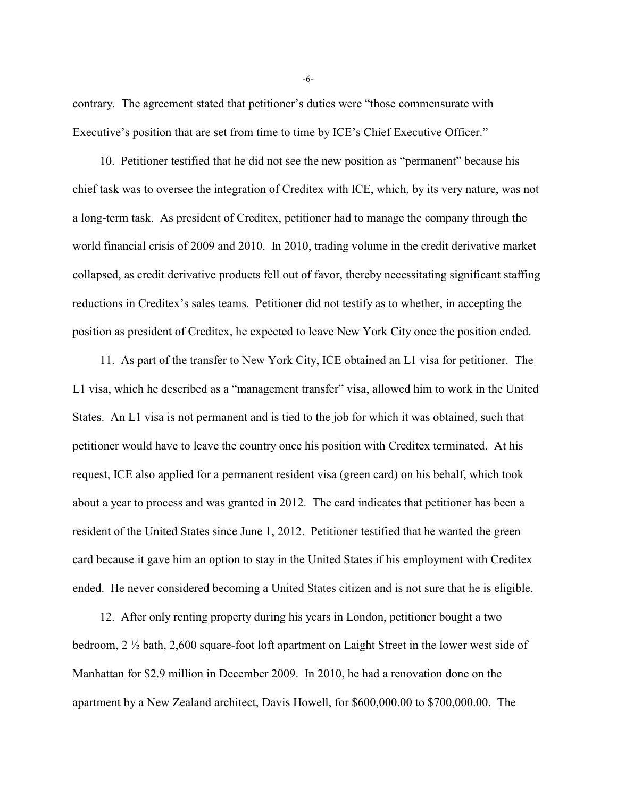contrary. The agreement stated that petitioner's duties were "those commensurate with Executive's position that are set from time to time by ICE's Chief Executive Officer."

10. Petitioner testified that he did not see the new position as "permanent" because his chief task was to oversee the integration of Creditex with ICE, which, by its very nature, was not a long-term task. As president of Creditex, petitioner had to manage the company through the world financial crisis of 2009 and 2010. In 2010, trading volume in the credit derivative market collapsed, as credit derivative products fell out of favor, thereby necessitating significant staffing reductions in Creditex's sales teams. Petitioner did not testify as to whether, in accepting the position as president of Creditex, he expected to leave New York City once the position ended.

11. As part of the transfer to New York City, ICE obtained an L1 visa for petitioner. The L1 visa, which he described as a "management transfer" visa, allowed him to work in the United States. An L1 visa is not permanent and is tied to the job for which it was obtained, such that petitioner would have to leave the country once his position with Creditex terminated. At his request, ICE also applied for a permanent resident visa (green card) on his behalf, which took about a year to process and was granted in 2012. The card indicates that petitioner has been a resident of the United States since June 1, 2012. Petitioner testified that he wanted the green card because it gave him an option to stay in the United States if his employment with Creditex ended. He never considered becoming a United States citizen and is not sure that he is eligible.

12. After only renting property during his years in London, petitioner bought a two bedroom, 2 ½ bath, 2,600 square-foot loft apartment on Laight Street in the lower west side of Manhattan for \$2.9 million in December 2009. In 2010, he had a renovation done on the apartment by a New Zealand architect, Davis Howell, for \$600,000.00 to \$700,000.00. The

-6-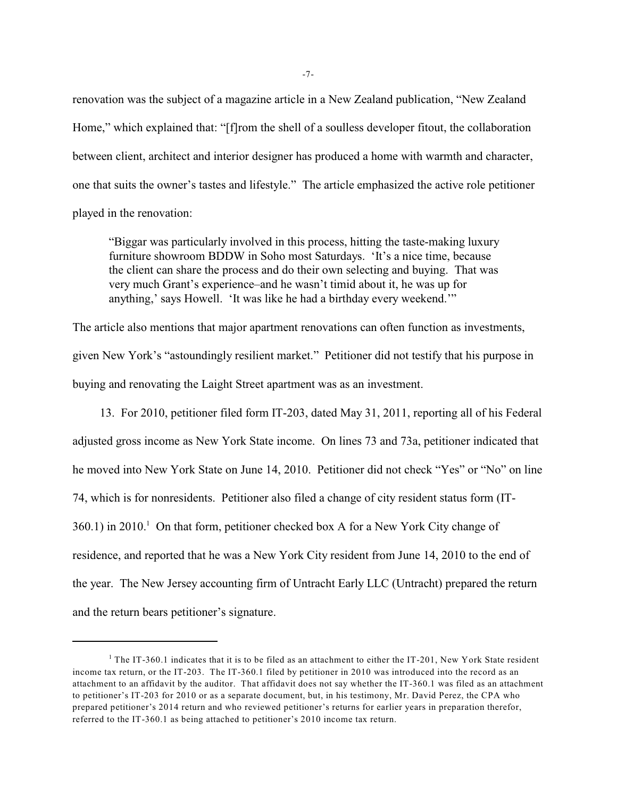renovation was the subject of a magazine article in a New Zealand publication, "New Zealand Home," which explained that: "[f]rom the shell of a soulless developer fitout, the collaboration between client, architect and interior designer has produced a home with warmth and character, one that suits the owner's tastes and lifestyle." The article emphasized the active role petitioner played in the renovation:

"Biggar was particularly involved in this process, hitting the taste-making luxury furniture showroom BDDW in Soho most Saturdays. 'It's a nice time, because the client can share the process and do their own selecting and buying. That was very much Grant's experience–and he wasn't timid about it, he was up for anything,' says Howell. 'It was like he had a birthday every weekend.'"

The article also mentions that major apartment renovations can often function as investments, given New York's "astoundingly resilient market." Petitioner did not testify that his purpose in buying and renovating the Laight Street apartment was as an investment.

13. For 2010, petitioner filed form IT-203, dated May 31, 2011, reporting all of his Federal adjusted gross income as New York State income. On lines 73 and 73a, petitioner indicated that he moved into New York State on June 14, 2010. Petitioner did not check "Yes" or "No" on line 74, which is for nonresidents. Petitioner also filed a change of city resident status form (IT- $360.1$ ) in 2010.<sup>1</sup> On that form, petitioner checked box A for a New York City change of residence, and reported that he was a New York City resident from June 14, 2010 to the end of the year. The New Jersey accounting firm of Untracht Early LLC (Untracht) prepared the return and the return bears petitioner's signature.

<sup>&</sup>lt;sup>1</sup> The IT-360.1 indicates that it is to be filed as an attachment to either the IT-201, New York State resident income tax return, or the IT-203. The IT-360.1 filed by petitioner in 2010 was introduced into the record as an attachment to an affidavit by the auditor. That affidavit does not say whether the IT-360.1 was filed as an attachment to petitioner's IT-203 for 2010 or as a separate document, but, in his testimony, Mr. David Perez, the CPA who prepared petitioner's 2014 return and who reviewed petitioner's returns for earlier years in preparation therefor, referred to the IT-360.1 as being attached to petitioner's 2010 income tax return.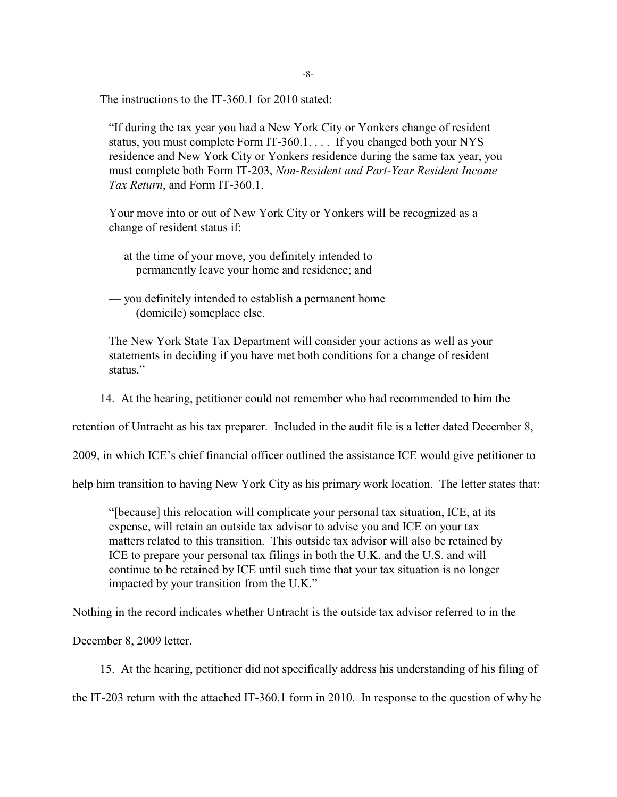The instructions to the IT-360.1 for 2010 stated:

"If during the tax year you had a New York City or Yonkers change of resident status, you must complete Form IT-360.1. . . . If you changed both your NYS residence and New York City or Yonkers residence during the same tax year, you must complete both Form IT-203, *Non-Resident and Part-Year Resident Income Tax Return*, and Form IT-360.1.

Your move into or out of New York City or Yonkers will be recognized as a change of resident status if:

— at the time of your move, you definitely intended to permanently leave your home and residence; and

— you definitely intended to establish a permanent home (domicile) someplace else.

The New York State Tax Department will consider your actions as well as your statements in deciding if you have met both conditions for a change of resident status<sup>"</sup>

14. At the hearing, petitioner could not remember who had recommended to him the

retention of Untracht as his tax preparer. Included in the audit file is a letter dated December 8,

2009, in which ICE's chief financial officer outlined the assistance ICE would give petitioner to

help him transition to having New York City as his primary work location. The letter states that:

"[because] this relocation will complicate your personal tax situation, ICE, at its expense, will retain an outside tax advisor to advise you and ICE on your tax matters related to this transition. This outside tax advisor will also be retained by ICE to prepare your personal tax filings in both the U.K. and the U.S. and will continue to be retained by ICE until such time that your tax situation is no longer impacted by your transition from the U.K."

Nothing in the record indicates whether Untracht is the outside tax advisor referred to in the

December 8, 2009 letter.

15. At the hearing, petitioner did not specifically address his understanding of his filing of

the IT-203 return with the attached IT-360.1 form in 2010. In response to the question of why he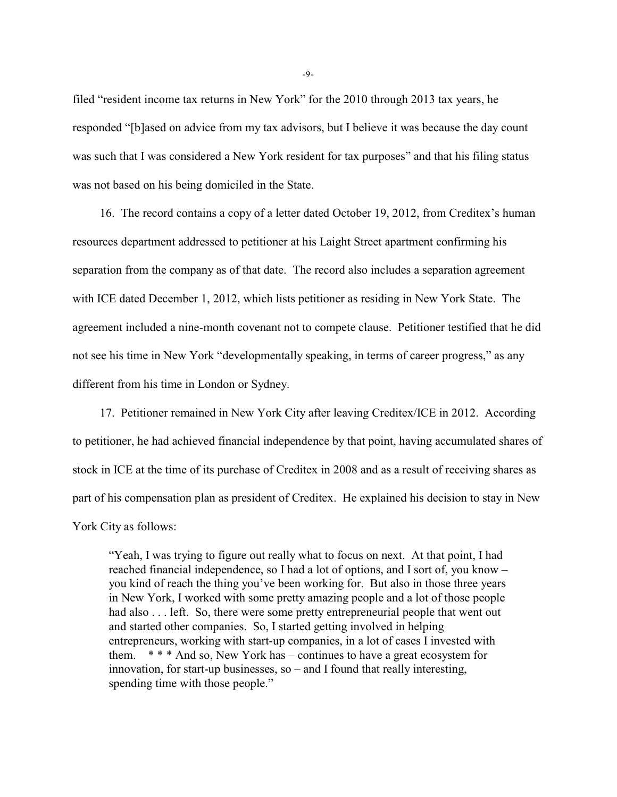filed "resident income tax returns in New York" for the 2010 through 2013 tax years, he responded "[b]ased on advice from my tax advisors, but I believe it was because the day count was such that I was considered a New York resident for tax purposes" and that his filing status was not based on his being domiciled in the State.

16. The record contains a copy of a letter dated October 19, 2012, from Creditex's human resources department addressed to petitioner at his Laight Street apartment confirming his separation from the company as of that date. The record also includes a separation agreement with ICE dated December 1, 2012, which lists petitioner as residing in New York State. The agreement included a nine-month covenant not to compete clause. Petitioner testified that he did not see his time in New York "developmentally speaking, in terms of career progress," as any different from his time in London or Sydney.

17. Petitioner remained in New York City after leaving Creditex/ICE in 2012. According to petitioner, he had achieved financial independence by that point, having accumulated shares of stock in ICE at the time of its purchase of Creditex in 2008 and as a result of receiving shares as part of his compensation plan as president of Creditex. He explained his decision to stay in New York City as follows:

"Yeah, I was trying to figure out really what to focus on next. At that point, I had reached financial independence, so I had a lot of options, and I sort of, you know – you kind of reach the thing you've been working for. But also in those three years in New York, I worked with some pretty amazing people and a lot of those people had also . . . left. So, there were some pretty entrepreneurial people that went out and started other companies. So, I started getting involved in helping entrepreneurs, working with start-up companies, in a lot of cases I invested with them.  $* * * And so, New York has - continues to have a great ecosystem for$ innovation, for start-up businesses, so – and I found that really interesting, spending time with those people."

-9-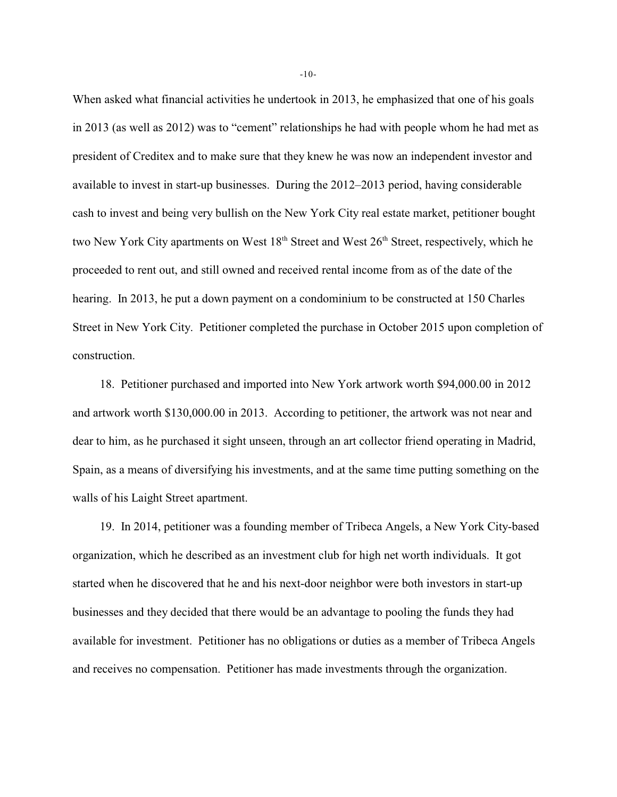When asked what financial activities he undertook in 2013, he emphasized that one of his goals in 2013 (as well as 2012) was to "cement" relationships he had with people whom he had met as president of Creditex and to make sure that they knew he was now an independent investor and available to invest in start-up businesses. During the 2012–2013 period, having considerable cash to invest and being very bullish on the New York City real estate market, petitioner bought two New York City apartments on West 18<sup>th</sup> Street and West 26<sup>th</sup> Street, respectively, which he proceeded to rent out, and still owned and received rental income from as of the date of the hearing. In 2013, he put a down payment on a condominium to be constructed at 150 Charles Street in New York City. Petitioner completed the purchase in October 2015 upon completion of construction.

18. Petitioner purchased and imported into New York artwork worth \$94,000.00 in 2012 and artwork worth \$130,000.00 in 2013. According to petitioner, the artwork was not near and dear to him, as he purchased it sight unseen, through an art collector friend operating in Madrid, Spain, as a means of diversifying his investments, and at the same time putting something on the walls of his Laight Street apartment.

19. In 2014, petitioner was a founding member of Tribeca Angels, a New York City-based organization, which he described as an investment club for high net worth individuals. It got started when he discovered that he and his next-door neighbor were both investors in start-up businesses and they decided that there would be an advantage to pooling the funds they had available for investment. Petitioner has no obligations or duties as a member of Tribeca Angels and receives no compensation. Petitioner has made investments through the organization.

-10-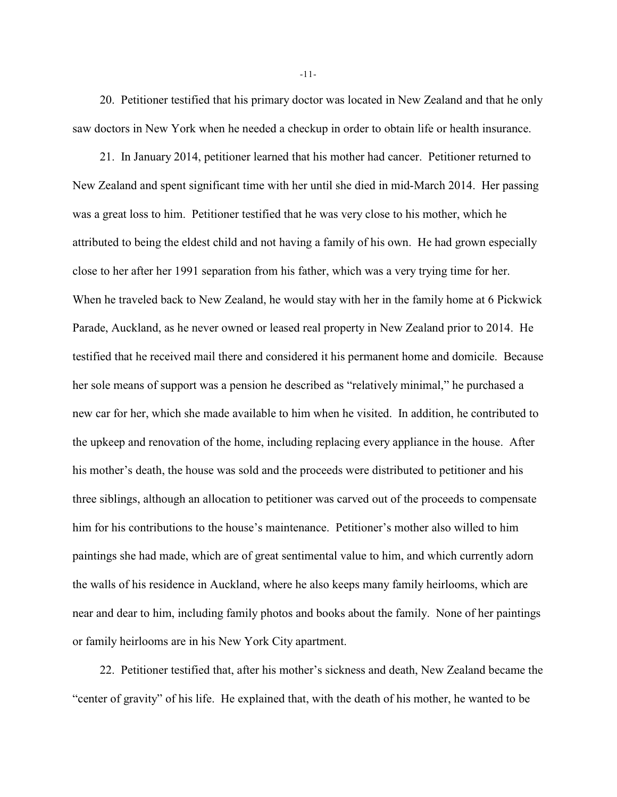20. Petitioner testified that his primary doctor was located in New Zealand and that he only saw doctors in New York when he needed a checkup in order to obtain life or health insurance.

21. In January 2014, petitioner learned that his mother had cancer. Petitioner returned to New Zealand and spent significant time with her until she died in mid-March 2014. Her passing was a great loss to him. Petitioner testified that he was very close to his mother, which he attributed to being the eldest child and not having a family of his own. He had grown especially close to her after her 1991 separation from his father, which was a very trying time for her. When he traveled back to New Zealand, he would stay with her in the family home at 6 Pickwick Parade, Auckland, as he never owned or leased real property in New Zealand prior to 2014. He testified that he received mail there and considered it his permanent home and domicile. Because her sole means of support was a pension he described as "relatively minimal," he purchased a new car for her, which she made available to him when he visited. In addition, he contributed to the upkeep and renovation of the home, including replacing every appliance in the house. After his mother's death, the house was sold and the proceeds were distributed to petitioner and his three siblings, although an allocation to petitioner was carved out of the proceeds to compensate him for his contributions to the house's maintenance. Petitioner's mother also willed to him paintings she had made, which are of great sentimental value to him, and which currently adorn the walls of his residence in Auckland, where he also keeps many family heirlooms, which are near and dear to him, including family photos and books about the family. None of her paintings or family heirlooms are in his New York City apartment.

22. Petitioner testified that, after his mother's sickness and death, New Zealand became the "center of gravity" of his life. He explained that, with the death of his mother, he wanted to be

-11-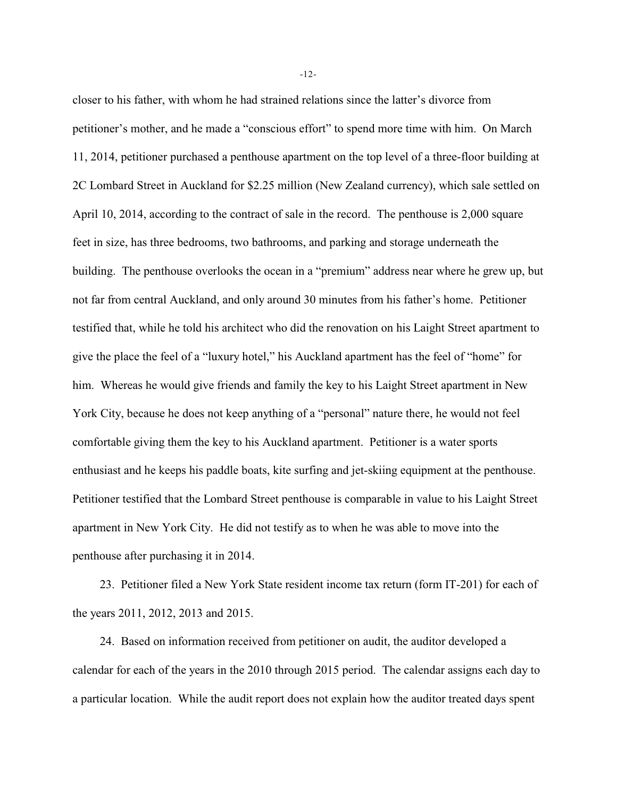closer to his father, with whom he had strained relations since the latter's divorce from petitioner's mother, and he made a "conscious effort" to spend more time with him. On March 11, 2014, petitioner purchased a penthouse apartment on the top level of a three-floor building at 2C Lombard Street in Auckland for \$2.25 million (New Zealand currency), which sale settled on April 10, 2014, according to the contract of sale in the record. The penthouse is 2,000 square feet in size, has three bedrooms, two bathrooms, and parking and storage underneath the building. The penthouse overlooks the ocean in a "premium" address near where he grew up, but not far from central Auckland, and only around 30 minutes from his father's home. Petitioner testified that, while he told his architect who did the renovation on his Laight Street apartment to give the place the feel of a "luxury hotel," his Auckland apartment has the feel of "home" for him. Whereas he would give friends and family the key to his Laight Street apartment in New York City, because he does not keep anything of a "personal" nature there, he would not feel comfortable giving them the key to his Auckland apartment. Petitioner is a water sports enthusiast and he keeps his paddle boats, kite surfing and jet-skiing equipment at the penthouse. Petitioner testified that the Lombard Street penthouse is comparable in value to his Laight Street apartment in New York City. He did not testify as to when he was able to move into the penthouse after purchasing it in 2014.

23. Petitioner filed a New York State resident income tax return (form IT-201) for each of the years 2011, 2012, 2013 and 2015.

24. Based on information received from petitioner on audit, the auditor developed a calendar for each of the years in the 2010 through 2015 period. The calendar assigns each day to a particular location. While the audit report does not explain how the auditor treated days spent

-12-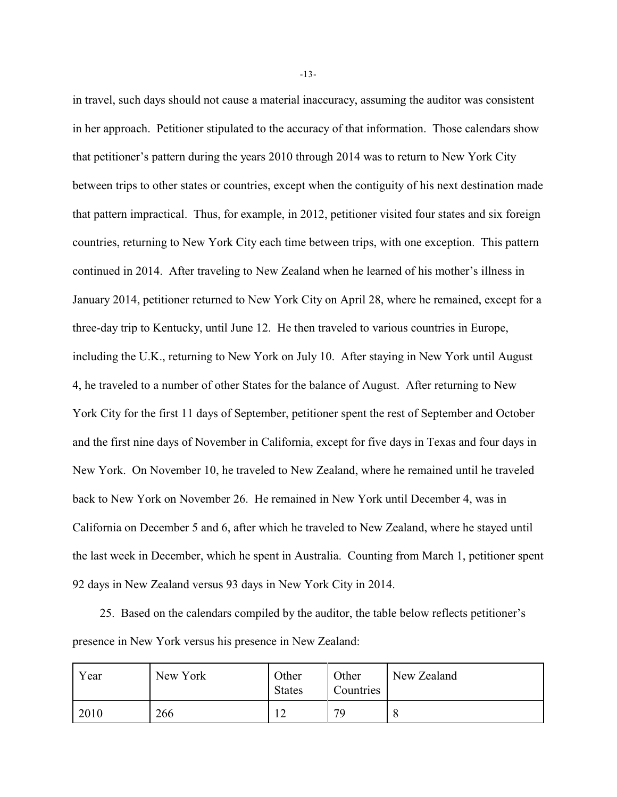in travel, such days should not cause a material inaccuracy, assuming the auditor was consistent in her approach. Petitioner stipulated to the accuracy of that information. Those calendars show that petitioner's pattern during the years 2010 through 2014 was to return to New York City between trips to other states or countries, except when the contiguity of his next destination made that pattern impractical. Thus, for example, in 2012, petitioner visited four states and six foreign countries, returning to New York City each time between trips, with one exception. This pattern continued in 2014. After traveling to New Zealand when he learned of his mother's illness in January 2014, petitioner returned to New York City on April 28, where he remained, except for a three-day trip to Kentucky, until June 12. He then traveled to various countries in Europe, including the U.K., returning to New York on July 10. After staying in New York until August 4, he traveled to a number of other States for the balance of August. After returning to New York City for the first 11 days of September, petitioner spent the rest of September and October and the first nine days of November in California, except for five days in Texas and four days in New York. On November 10, he traveled to New Zealand, where he remained until he traveled back to New York on November 26. He remained in New York until December 4, was in California on December 5 and 6, after which he traveled to New Zealand, where he stayed until the last week in December, which he spent in Australia. Counting from March 1, petitioner spent 92 days in New Zealand versus 93 days in New York City in 2014.

25. Based on the calendars compiled by the auditor, the table below reflects petitioner's presence in New York versus his presence in New Zealand:

| Year | New York | Other<br><b>States</b> | Other<br>Countries | New Zealand |
|------|----------|------------------------|--------------------|-------------|
| 2010 | 266      | $\overline{1}$         | 70                 |             |

-13-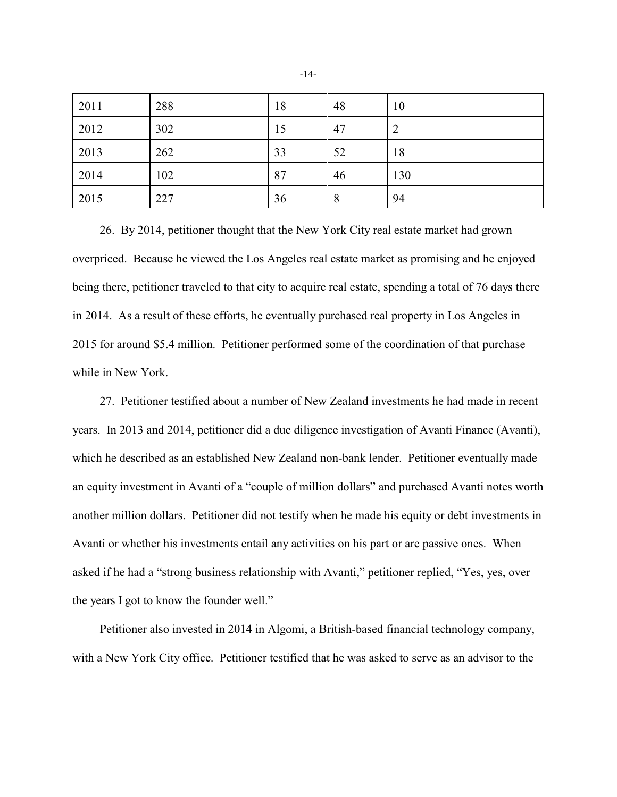| 2011 | 288 | 18 | 48 | 10  |
|------|-----|----|----|-----|
| 2012 | 302 | 15 | 47 | 2   |
| 2013 | 262 | 33 | 52 | 18  |
| 2014 | 102 | 87 | 46 | 130 |
| 2015 | 227 | 36 | 8  | 94  |

26. By 2014, petitioner thought that the New York City real estate market had grown overpriced. Because he viewed the Los Angeles real estate market as promising and he enjoyed being there, petitioner traveled to that city to acquire real estate, spending a total of 76 days there in 2014. As a result of these efforts, he eventually purchased real property in Los Angeles in 2015 for around \$5.4 million. Petitioner performed some of the coordination of that purchase while in New York.

27. Petitioner testified about a number of New Zealand investments he had made in recent years. In 2013 and 2014, petitioner did a due diligence investigation of Avanti Finance (Avanti), which he described as an established New Zealand non-bank lender. Petitioner eventually made an equity investment in Avanti of a "couple of million dollars" and purchased Avanti notes worth another million dollars. Petitioner did not testify when he made his equity or debt investments in Avanti or whether his investments entail any activities on his part or are passive ones. When asked if he had a "strong business relationship with Avanti," petitioner replied, "Yes, yes, over the years I got to know the founder well."

Petitioner also invested in 2014 in Algomi, a British-based financial technology company, with a New York City office. Petitioner testified that he was asked to serve as an advisor to the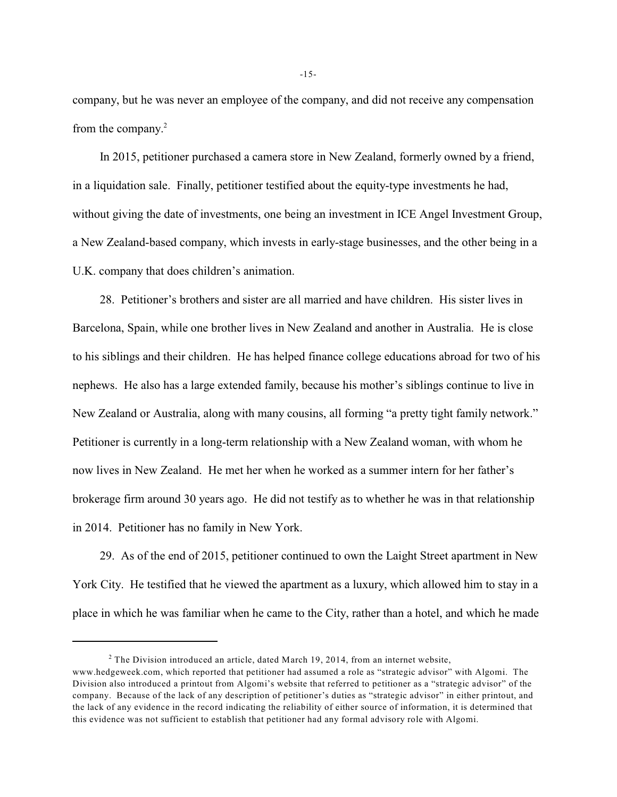company, but he was never an employee of the company, and did not receive any compensation from the company.<sup>2</sup>

In 2015, petitioner purchased a camera store in New Zealand, formerly owned by a friend, in a liquidation sale. Finally, petitioner testified about the equity-type investments he had, without giving the date of investments, one being an investment in ICE Angel Investment Group, a New Zealand-based company, which invests in early-stage businesses, and the other being in a U.K. company that does children's animation.

28. Petitioner's brothers and sister are all married and have children. His sister lives in Barcelona, Spain, while one brother lives in New Zealand and another in Australia. He is close to his siblings and their children. He has helped finance college educations abroad for two of his nephews. He also has a large extended family, because his mother's siblings continue to live in New Zealand or Australia, along with many cousins, all forming "a pretty tight family network." Petitioner is currently in a long-term relationship with a New Zealand woman, with whom he now lives in New Zealand. He met her when he worked as a summer intern for her father's brokerage firm around 30 years ago. He did not testify as to whether he was in that relationship in 2014. Petitioner has no family in New York.

29. As of the end of 2015, petitioner continued to own the Laight Street apartment in New York City. He testified that he viewed the apartment as a luxury, which allowed him to stay in a place in which he was familiar when he came to the City, rather than a hotel, and which he made

 $2$  The Division introduced an article, dated March 19, 2014, from an internet website, www.hedgeweek.com, which reported that petitioner had assumed a role as "strategic advisor" with Algomi. The Division also introduced a printout from Algomi's website that referred to petitioner as a "strategic advisor" of the company. Because of the lack of any description of petitioner's duties as "strategic advisor" in either printout, and the lack of any evidence in the record indicating the reliability of either source of information, it is determined that this evidence was not sufficient to establish that petitioner had any formal advisory role with Algomi.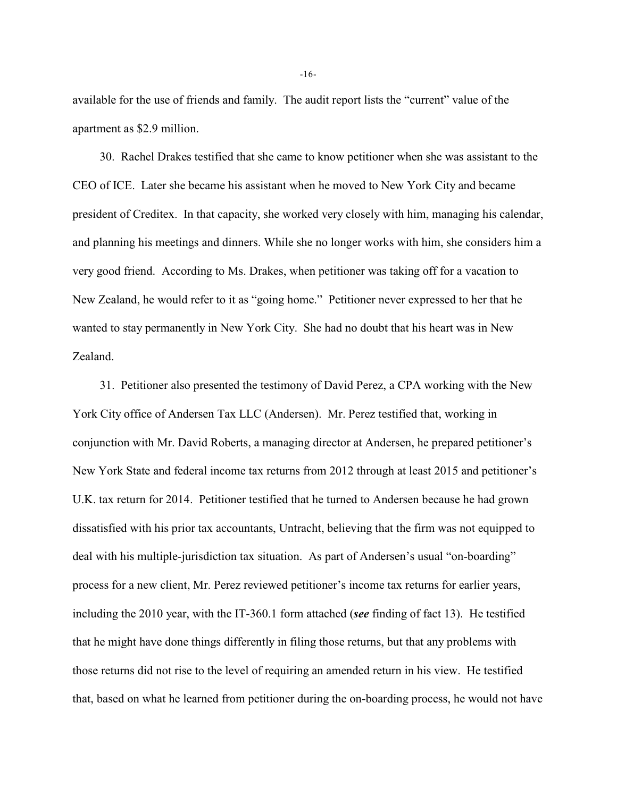available for the use of friends and family. The audit report lists the "current" value of the apartment as \$2.9 million.

30. Rachel Drakes testified that she came to know petitioner when she was assistant to the CEO of ICE. Later she became his assistant when he moved to New York City and became president of Creditex. In that capacity, she worked very closely with him, managing his calendar, and planning his meetings and dinners. While she no longer works with him, she considers him a very good friend. According to Ms. Drakes, when petitioner was taking off for a vacation to New Zealand, he would refer to it as "going home." Petitioner never expressed to her that he wanted to stay permanently in New York City. She had no doubt that his heart was in New Zealand.

31. Petitioner also presented the testimony of David Perez, a CPA working with the New York City office of Andersen Tax LLC (Andersen). Mr. Perez testified that, working in conjunction with Mr. David Roberts, a managing director at Andersen, he prepared petitioner's New York State and federal income tax returns from 2012 through at least 2015 and petitioner's U.K. tax return for 2014. Petitioner testified that he turned to Andersen because he had grown dissatisfied with his prior tax accountants, Untracht, believing that the firm was not equipped to deal with his multiple-jurisdiction tax situation. As part of Andersen's usual "on-boarding" process for a new client, Mr. Perez reviewed petitioner's income tax returns for earlier years, including the 2010 year, with the IT-360.1 form attached (*see* finding of fact 13). He testified that he might have done things differently in filing those returns, but that any problems with those returns did not rise to the level of requiring an amended return in his view. He testified that, based on what he learned from petitioner during the on-boarding process, he would not have

-16-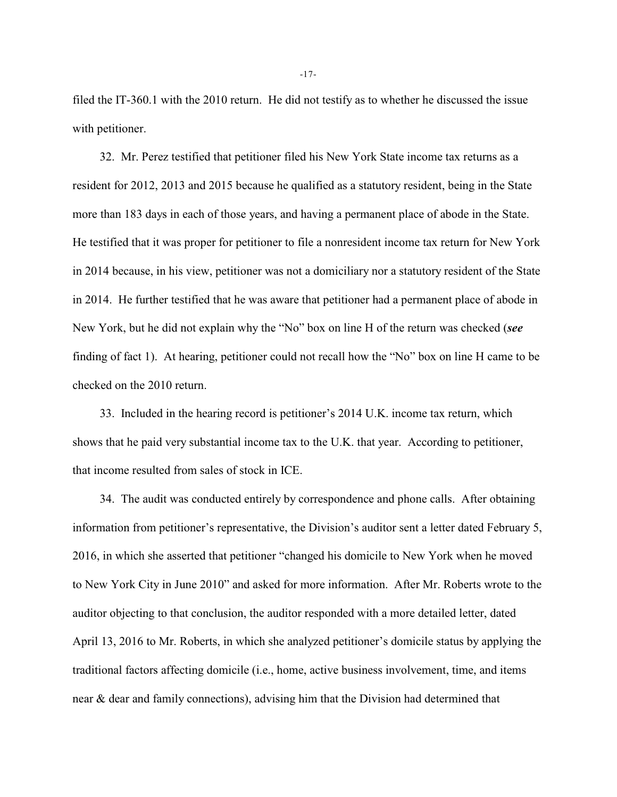filed the IT-360.1 with the 2010 return. He did not testify as to whether he discussed the issue with petitioner.

32. Mr. Perez testified that petitioner filed his New York State income tax returns as a resident for 2012, 2013 and 2015 because he qualified as a statutory resident, being in the State more than 183 days in each of those years, and having a permanent place of abode in the State. He testified that it was proper for petitioner to file a nonresident income tax return for New York in 2014 because, in his view, petitioner was not a domiciliary nor a statutory resident of the State in 2014. He further testified that he was aware that petitioner had a permanent place of abode in New York, but he did not explain why the "No" box on line H of the return was checked (*see* finding of fact 1). At hearing, petitioner could not recall how the "No" box on line H came to be checked on the 2010 return.

33. Included in the hearing record is petitioner's 2014 U.K. income tax return, which shows that he paid very substantial income tax to the U.K. that year. According to petitioner, that income resulted from sales of stock in ICE.

34. The audit was conducted entirely by correspondence and phone calls. After obtaining information from petitioner's representative, the Division's auditor sent a letter dated February 5, 2016, in which she asserted that petitioner "changed his domicile to New York when he moved to New York City in June 2010" and asked for more information. After Mr. Roberts wrote to the auditor objecting to that conclusion, the auditor responded with a more detailed letter, dated April 13, 2016 to Mr. Roberts, in which she analyzed petitioner's domicile status by applying the traditional factors affecting domicile (i.e., home, active business involvement, time, and items near & dear and family connections), advising him that the Division had determined that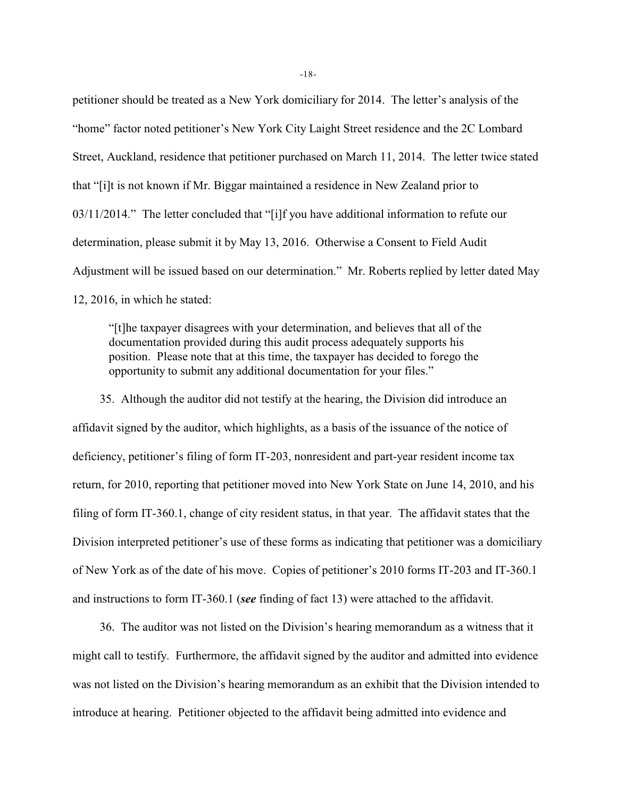petitioner should be treated as a New York domiciliary for 2014. The letter's analysis of the "home" factor noted petitioner's New York City Laight Street residence and the 2C Lombard Street, Auckland, residence that petitioner purchased on March 11, 2014. The letter twice stated that "[i]t is not known if Mr. Biggar maintained a residence in New Zealand prior to 03/11/2014." The letter concluded that "[i]f you have additional information to refute our determination, please submit it by May 13, 2016. Otherwise a Consent to Field Audit Adjustment will be issued based on our determination." Mr. Roberts replied by letter dated May 12, 2016, in which he stated:

"[t]he taxpayer disagrees with your determination, and believes that all of the documentation provided during this audit process adequately supports his position. Please note that at this time, the taxpayer has decided to forego the opportunity to submit any additional documentation for your files."

35. Although the auditor did not testify at the hearing, the Division did introduce an affidavit signed by the auditor, which highlights, as a basis of the issuance of the notice of deficiency, petitioner's filing of form IT-203, nonresident and part-year resident income tax return, for 2010, reporting that petitioner moved into New York State on June 14, 2010, and his filing of form IT-360.1, change of city resident status, in that year. The affidavit states that the Division interpreted petitioner's use of these forms as indicating that petitioner was a domiciliary of New York as of the date of his move. Copies of petitioner's 2010 forms IT-203 and IT-360.1 and instructions to form IT-360.1 (*see* finding of fact 13) were attached to the affidavit.

36. The auditor was not listed on the Division's hearing memorandum as a witness that it might call to testify. Furthermore, the affidavit signed by the auditor and admitted into evidence was not listed on the Division's hearing memorandum as an exhibit that the Division intended to introduce at hearing. Petitioner objected to the affidavit being admitted into evidence and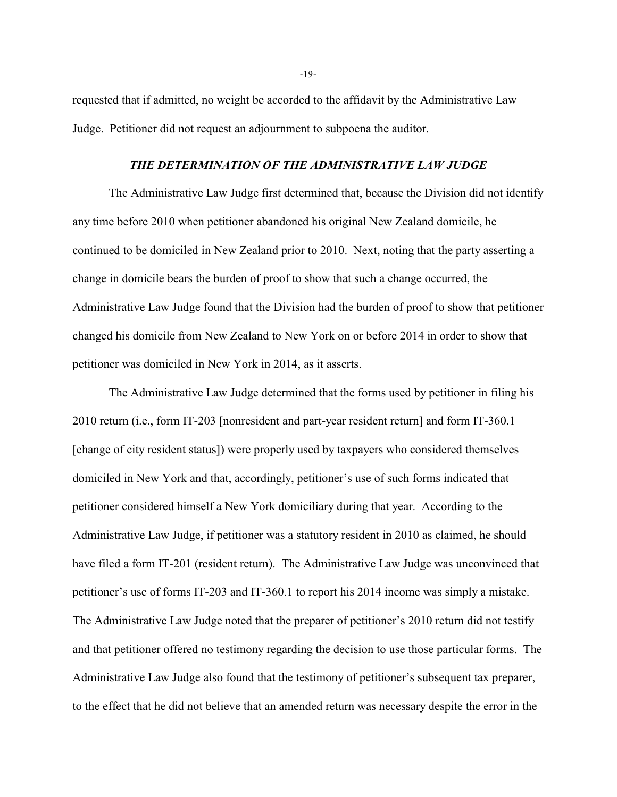requested that if admitted, no weight be accorded to the affidavit by the Administrative Law Judge. Petitioner did not request an adjournment to subpoena the auditor.

### *THE DETERMINATION OF THE ADMINISTRATIVE LAW JUDGE*

The Administrative Law Judge first determined that, because the Division did not identify any time before 2010 when petitioner abandoned his original New Zealand domicile, he continued to be domiciled in New Zealand prior to 2010. Next, noting that the party asserting a change in domicile bears the burden of proof to show that such a change occurred, the Administrative Law Judge found that the Division had the burden of proof to show that petitioner changed his domicile from New Zealand to New York on or before 2014 in order to show that petitioner was domiciled in New York in 2014, as it asserts.

The Administrative Law Judge determined that the forms used by petitioner in filing his 2010 return (i.e., form IT-203 [nonresident and part-year resident return] and form IT-360.1 [change of city resident status]) were properly used by taxpayers who considered themselves domiciled in New York and that, accordingly, petitioner's use of such forms indicated that petitioner considered himself a New York domiciliary during that year. According to the Administrative Law Judge, if petitioner was a statutory resident in 2010 as claimed, he should have filed a form IT-201 (resident return). The Administrative Law Judge was unconvinced that petitioner's use of forms IT-203 and IT-360.1 to report his 2014 income was simply a mistake. The Administrative Law Judge noted that the preparer of petitioner's 2010 return did not testify and that petitioner offered no testimony regarding the decision to use those particular forms. The Administrative Law Judge also found that the testimony of petitioner's subsequent tax preparer, to the effect that he did not believe that an amended return was necessary despite the error in the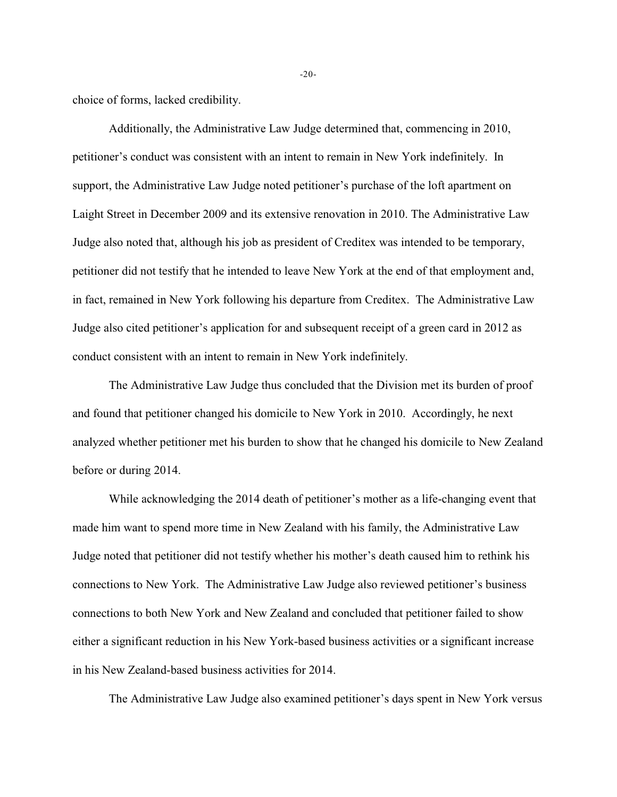choice of forms, lacked credibility.

Additionally, the Administrative Law Judge determined that, commencing in 2010, petitioner's conduct was consistent with an intent to remain in New York indefinitely. In support, the Administrative Law Judge noted petitioner's purchase of the loft apartment on Laight Street in December 2009 and its extensive renovation in 2010. The Administrative Law Judge also noted that, although his job as president of Creditex was intended to be temporary, petitioner did not testify that he intended to leave New York at the end of that employment and, in fact, remained in New York following his departure from Creditex. The Administrative Law Judge also cited petitioner's application for and subsequent receipt of a green card in 2012 as conduct consistent with an intent to remain in New York indefinitely.

The Administrative Law Judge thus concluded that the Division met its burden of proof and found that petitioner changed his domicile to New York in 2010. Accordingly, he next analyzed whether petitioner met his burden to show that he changed his domicile to New Zealand before or during 2014.

While acknowledging the 2014 death of petitioner's mother as a life-changing event that made him want to spend more time in New Zealand with his family, the Administrative Law Judge noted that petitioner did not testify whether his mother's death caused him to rethink his connections to New York. The Administrative Law Judge also reviewed petitioner's business connections to both New York and New Zealand and concluded that petitioner failed to show either a significant reduction in his New York-based business activities or a significant increase in his New Zealand-based business activities for 2014.

The Administrative Law Judge also examined petitioner's days spent in New York versus

-20-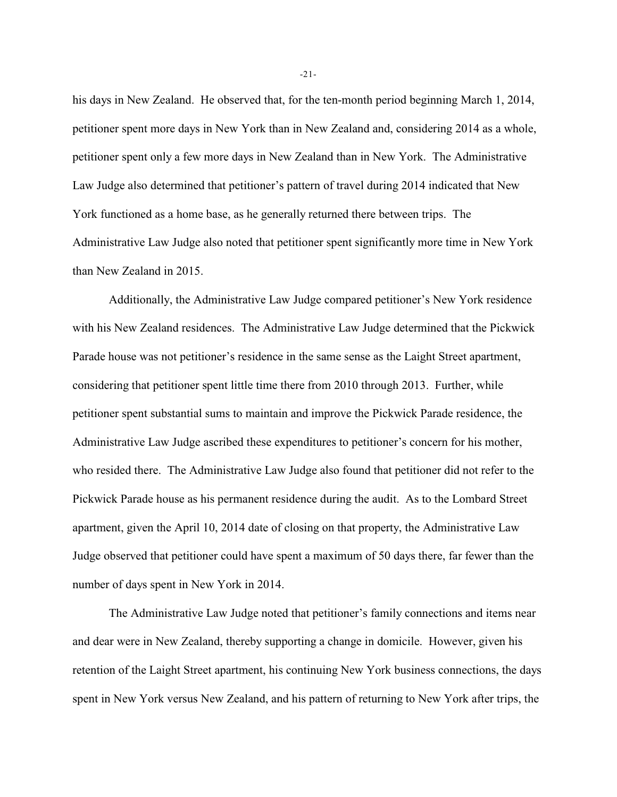his days in New Zealand. He observed that, for the ten-month period beginning March 1, 2014, petitioner spent more days in New York than in New Zealand and, considering 2014 as a whole, petitioner spent only a few more days in New Zealand than in New York. The Administrative Law Judge also determined that petitioner's pattern of travel during 2014 indicated that New York functioned as a home base, as he generally returned there between trips. The Administrative Law Judge also noted that petitioner spent significantly more time in New York than New Zealand in 2015.

Additionally, the Administrative Law Judge compared petitioner's New York residence with his New Zealand residences. The Administrative Law Judge determined that the Pickwick Parade house was not petitioner's residence in the same sense as the Laight Street apartment, considering that petitioner spent little time there from 2010 through 2013. Further, while petitioner spent substantial sums to maintain and improve the Pickwick Parade residence, the Administrative Law Judge ascribed these expenditures to petitioner's concern for his mother, who resided there. The Administrative Law Judge also found that petitioner did not refer to the Pickwick Parade house as his permanent residence during the audit. As to the Lombard Street apartment, given the April 10, 2014 date of closing on that property, the Administrative Law Judge observed that petitioner could have spent a maximum of 50 days there, far fewer than the number of days spent in New York in 2014.

The Administrative Law Judge noted that petitioner's family connections and items near and dear were in New Zealand, thereby supporting a change in domicile. However, given his retention of the Laight Street apartment, his continuing New York business connections, the days spent in New York versus New Zealand, and his pattern of returning to New York after trips, the

-21-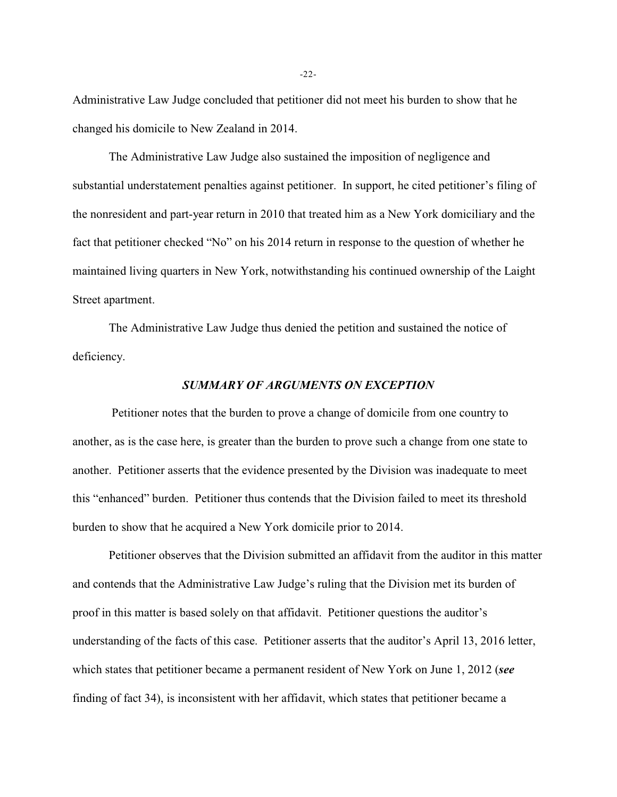Administrative Law Judge concluded that petitioner did not meet his burden to show that he changed his domicile to New Zealand in 2014.

The Administrative Law Judge also sustained the imposition of negligence and substantial understatement penalties against petitioner. In support, he cited petitioner's filing of the nonresident and part-year return in 2010 that treated him as a New York domiciliary and the fact that petitioner checked "No" on his 2014 return in response to the question of whether he maintained living quarters in New York, notwithstanding his continued ownership of the Laight Street apartment.

The Administrative Law Judge thus denied the petition and sustained the notice of deficiency.

## *SUMMARY OF ARGUMENTS ON EXCEPTION*

 Petitioner notes that the burden to prove a change of domicile from one country to another, as is the case here, is greater than the burden to prove such a change from one state to another. Petitioner asserts that the evidence presented by the Division was inadequate to meet this "enhanced" burden. Petitioner thus contends that the Division failed to meet its threshold burden to show that he acquired a New York domicile prior to 2014.

Petitioner observes that the Division submitted an affidavit from the auditor in this matter and contends that the Administrative Law Judge's ruling that the Division met its burden of proof in this matter is based solely on that affidavit. Petitioner questions the auditor's understanding of the facts of this case. Petitioner asserts that the auditor's April 13, 2016 letter, which states that petitioner became a permanent resident of New York on June 1, 2012 (*see* finding of fact 34), is inconsistent with her affidavit, which states that petitioner became a

-22-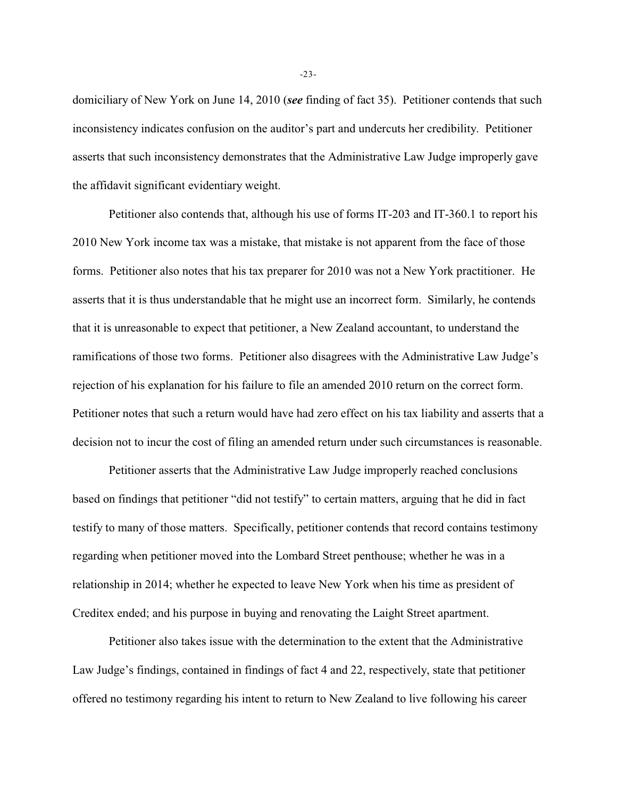domiciliary of New York on June 14, 2010 (*see* finding of fact 35). Petitioner contends that such inconsistency indicates confusion on the auditor's part and undercuts her credibility. Petitioner asserts that such inconsistency demonstrates that the Administrative Law Judge improperly gave the affidavit significant evidentiary weight.

Petitioner also contends that, although his use of forms IT-203 and IT-360.1 to report his 2010 New York income tax was a mistake, that mistake is not apparent from the face of those forms. Petitioner also notes that his tax preparer for 2010 was not a New York practitioner. He asserts that it is thus understandable that he might use an incorrect form. Similarly, he contends that it is unreasonable to expect that petitioner, a New Zealand accountant, to understand the ramifications of those two forms. Petitioner also disagrees with the Administrative Law Judge's rejection of his explanation for his failure to file an amended 2010 return on the correct form. Petitioner notes that such a return would have had zero effect on his tax liability and asserts that a decision not to incur the cost of filing an amended return under such circumstances is reasonable.

Petitioner asserts that the Administrative Law Judge improperly reached conclusions based on findings that petitioner "did not testify" to certain matters, arguing that he did in fact testify to many of those matters. Specifically, petitioner contends that record contains testimony regarding when petitioner moved into the Lombard Street penthouse; whether he was in a relationship in 2014; whether he expected to leave New York when his time as president of Creditex ended; and his purpose in buying and renovating the Laight Street apartment.

Petitioner also takes issue with the determination to the extent that the Administrative Law Judge's findings, contained in findings of fact 4 and 22, respectively, state that petitioner offered no testimony regarding his intent to return to New Zealand to live following his career

-23-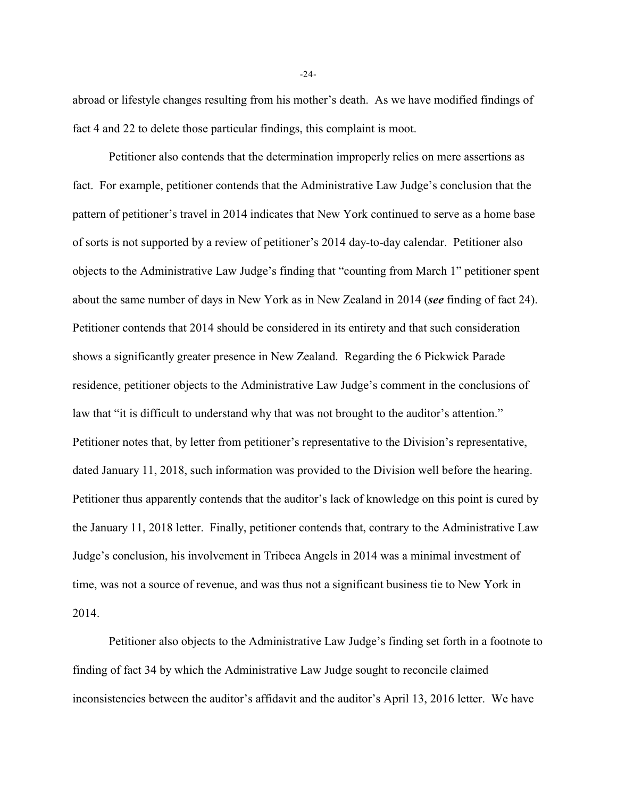abroad or lifestyle changes resulting from his mother's death. As we have modified findings of fact 4 and 22 to delete those particular findings, this complaint is moot.

Petitioner also contends that the determination improperly relies on mere assertions as fact. For example, petitioner contends that the Administrative Law Judge's conclusion that the pattern of petitioner's travel in 2014 indicates that New York continued to serve as a home base of sorts is not supported by a review of petitioner's 2014 day-to-day calendar. Petitioner also objects to the Administrative Law Judge's finding that "counting from March 1" petitioner spent about the same number of days in New York as in New Zealand in 2014 (*see* finding of fact 24). Petitioner contends that 2014 should be considered in its entirety and that such consideration shows a significantly greater presence in New Zealand. Regarding the 6 Pickwick Parade residence, petitioner objects to the Administrative Law Judge's comment in the conclusions of law that "it is difficult to understand why that was not brought to the auditor's attention." Petitioner notes that, by letter from petitioner's representative to the Division's representative, dated January 11, 2018, such information was provided to the Division well before the hearing. Petitioner thus apparently contends that the auditor's lack of knowledge on this point is cured by the January 11, 2018 letter. Finally, petitioner contends that, contrary to the Administrative Law Judge's conclusion, his involvement in Tribeca Angels in 2014 was a minimal investment of time, was not a source of revenue, and was thus not a significant business tie to New York in 2014.

Petitioner also objects to the Administrative Law Judge's finding set forth in a footnote to finding of fact 34 by which the Administrative Law Judge sought to reconcile claimed inconsistencies between the auditor's affidavit and the auditor's April 13, 2016 letter. We have

-24-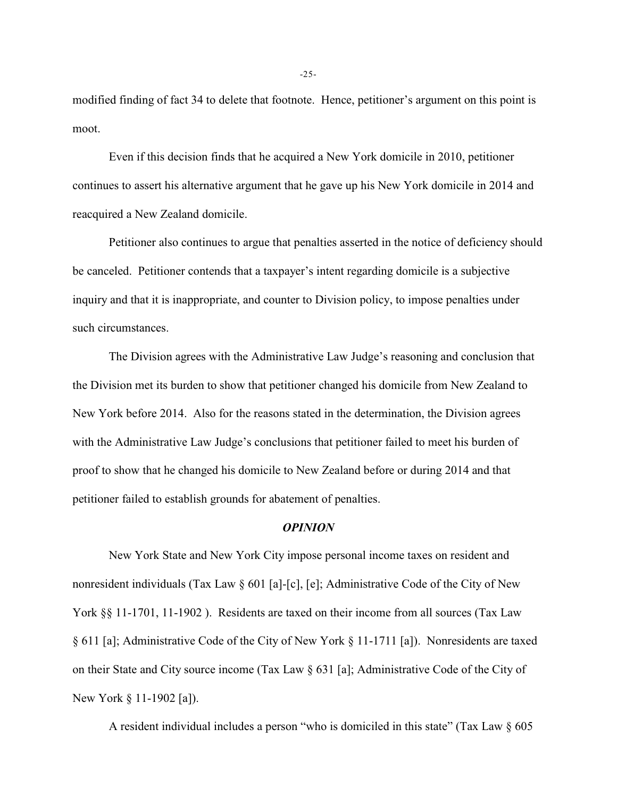modified finding of fact 34 to delete that footnote. Hence, petitioner's argument on this point is moot.

Even if this decision finds that he acquired a New York domicile in 2010, petitioner continues to assert his alternative argument that he gave up his New York domicile in 2014 and reacquired a New Zealand domicile.

Petitioner also continues to argue that penalties asserted in the notice of deficiency should be canceled. Petitioner contends that a taxpayer's intent regarding domicile is a subjective inquiry and that it is inappropriate, and counter to Division policy, to impose penalties under such circumstances.

The Division agrees with the Administrative Law Judge's reasoning and conclusion that the Division met its burden to show that petitioner changed his domicile from New Zealand to New York before 2014. Also for the reasons stated in the determination, the Division agrees with the Administrative Law Judge's conclusions that petitioner failed to meet his burden of proof to show that he changed his domicile to New Zealand before or during 2014 and that petitioner failed to establish grounds for abatement of penalties.

### *OPINION*

New York State and New York City impose personal income taxes on resident and nonresident individuals (Tax Law § 601 [a]-[c], [e]; Administrative Code of the City of New York §§ 11-1701, 11-1902). Residents are taxed on their income from all sources (Tax Law § 611 [a]; Administrative Code of the City of New York § 11-1711 [a]). Nonresidents are taxed on their State and City source income (Tax Law § 631 [a]; Administrative Code of the City of New York § 11-1902 [a]).

A resident individual includes a person "who is domiciled in this state" (Tax Law § 605

-25-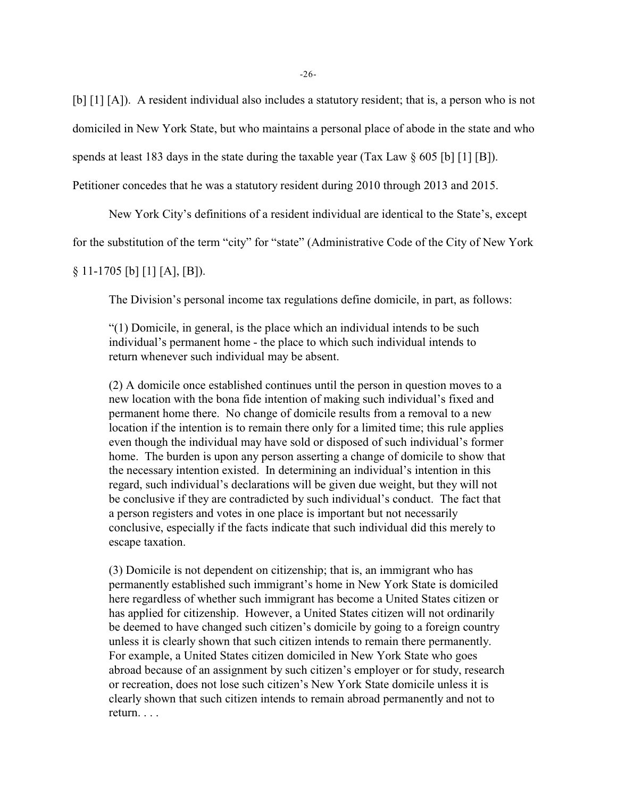[b] [1] [A]). A resident individual also includes a statutory resident; that is, a person who is not

domiciled in New York State, but who maintains a personal place of abode in the state and who

spends at least 183 days in the state during the taxable year (Tax Law  $\S$  605 [b] [1] [B]).

Petitioner concedes that he was a statutory resident during 2010 through 2013 and 2015.

New York City's definitions of a resident individual are identical to the State's, except

for the substitution of the term "city" for "state" (Administrative Code of the City of New York

# $§ 11-1705$  [b] [1] [A], [B]).

The Division's personal income tax regulations define domicile, in part, as follows:

"(1) Domicile, in general, is the place which an individual intends to be such individual's permanent home - the place to which such individual intends to return whenever such individual may be absent.

(2) A domicile once established continues until the person in question moves to a new location with the bona fide intention of making such individual's fixed and permanent home there. No change of domicile results from a removal to a new location if the intention is to remain there only for a limited time; this rule applies even though the individual may have sold or disposed of such individual's former home. The burden is upon any person asserting a change of domicile to show that the necessary intention existed. In determining an individual's intention in this regard, such individual's declarations will be given due weight, but they will not be conclusive if they are contradicted by such individual's conduct. The fact that a person registers and votes in one place is important but not necessarily conclusive, especially if the facts indicate that such individual did this merely to escape taxation.

(3) Domicile is not dependent on citizenship; that is, an immigrant who has permanently established such immigrant's home in New York State is domiciled here regardless of whether such immigrant has become a United States citizen or has applied for citizenship. However, a United States citizen will not ordinarily be deemed to have changed such citizen's domicile by going to a foreign country unless it is clearly shown that such citizen intends to remain there permanently. For example, a United States citizen domiciled in New York State who goes abroad because of an assignment by such citizen's employer or for study, research or recreation, does not lose such citizen's New York State domicile unless it is clearly shown that such citizen intends to remain abroad permanently and not to return. . . .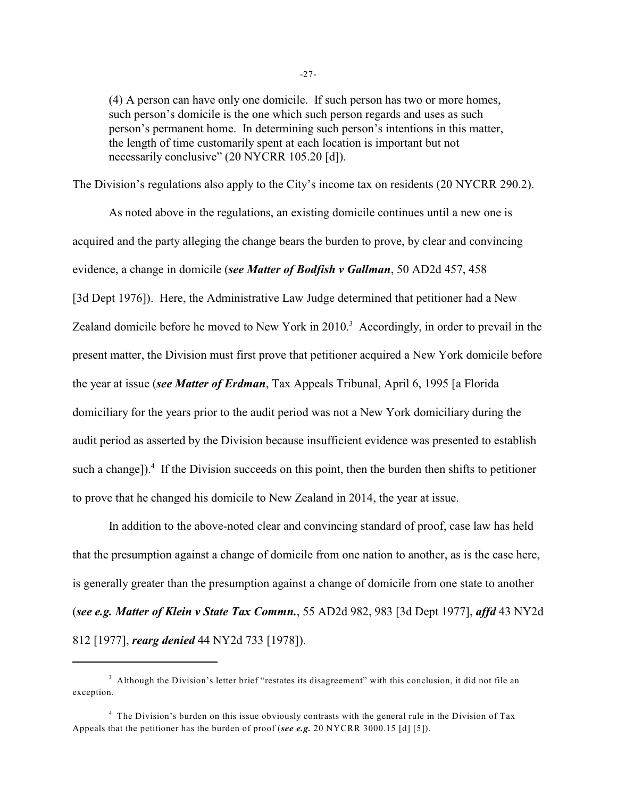(4) A person can have only one domicile. If such person has two or more homes, such person's domicile is the one which such person regards and uses as such person's permanent home. In determining such person's intentions in this matter, the length of time customarily spent at each location is important but not necessarily conclusive" (20 NYCRR 105.20 [d]).

The Division's regulations also apply to the City's income tax on residents (20 NYCRR 290.2).

As noted above in the regulations, an existing domicile continues until a new one is acquired and the party alleging the change bears the burden to prove, by clear and convincing evidence, a change in domicile (*see Matter of Bodfish v Gallman*, 50 AD2d 457, 458 [3d Dept 1976]). Here, the Administrative Law Judge determined that petitioner had a New Zealand domicile before he moved to New York in 2010.<sup>3</sup> Accordingly, in order to prevail in the present matter, the Division must first prove that petitioner acquired a New York domicile before the year at issue (*see Matter of Erdman*, Tax Appeals Tribunal, April 6, 1995 [a Florida domiciliary for the years prior to the audit period was not a New York domiciliary during the audit period as asserted by the Division because insufficient evidence was presented to establish such a change]). $\frac{4}{3}$  If the Division succeeds on this point, then the burden then shifts to petitioner to prove that he changed his domicile to New Zealand in 2014, the year at issue.

In addition to the above-noted clear and convincing standard of proof, case law has held that the presumption against a change of domicile from one nation to another, as is the case here, is generally greater than the presumption against a change of domicile from one state to another (*see e.g. Matter of Klein v State Tax Commn.*, 55 AD2d 982, 983 [3d Dept 1977], *affd* 43 NY2d 812 [1977], *rearg denied* 44 NY2d 733 [1978]).

 $3$  Although the Division's letter brief "restates its disagreement" with this conclusion, it did not file an exception.

<sup>&</sup>lt;sup>4</sup> The Division's burden on this issue obviously contrasts with the general rule in the Division of Tax Appeals that the petitioner has the burden of proof (*see e.g.* 20 NYCRR 3000.15 [d] [5]).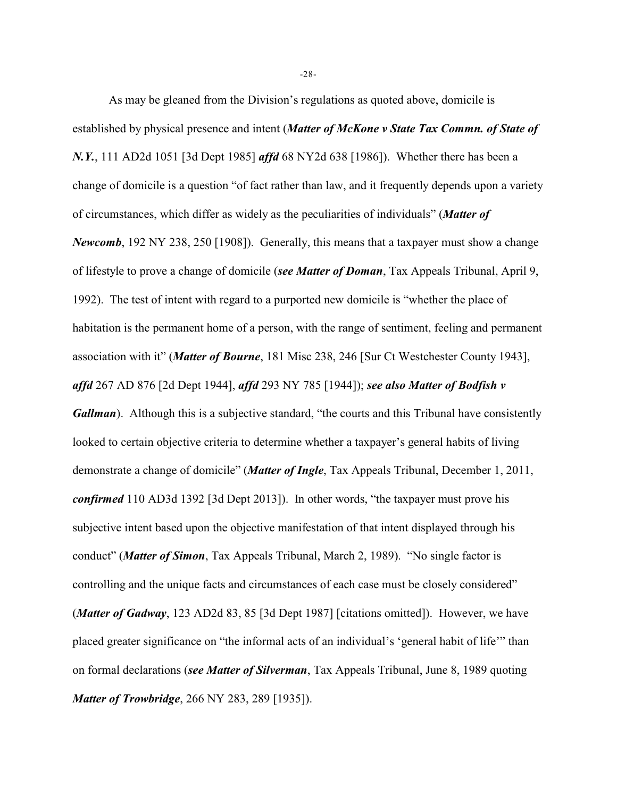As may be gleaned from the Division's regulations as quoted above, domicile is established by physical presence and intent (*Matter of McKone v State Tax Commn. of State of N.Y.*, 111 AD2d 1051 [3d Dept 1985] *affd* 68 NY2d 638 [1986]).Whether there has been a change of domicile is a question "of fact rather than law, and it frequently depends upon a variety of circumstances, which differ as widely as the peculiarities of individuals" (*Matter of Newcomb*, 192 NY 238, 250 [1908]). Generally, this means that a taxpayer must show a change of lifestyle to prove a change of domicile (*see Matter of Doman*, Tax Appeals Tribunal, April 9, 1992). The test of intent with regard to a purported new domicile is "whether the place of habitation is the permanent home of a person, with the range of sentiment, feeling and permanent association with it" (*Matter of Bourne*, 181 Misc 238, 246 [Sur Ct Westchester County 1943], *affd* 267 AD 876 [2d Dept 1944], *affd* 293 NY 785 [1944]); *see also Matter of Bodfish v Gallman*). Although this is a subjective standard, "the courts and this Tribunal have consistently looked to certain objective criteria to determine whether a taxpayer's general habits of living demonstrate a change of domicile" (*Matter of Ingle*, Tax Appeals Tribunal, December 1, 2011, *confirmed* 110 AD3d 1392 [3d Dept 2013]). In other words, "the taxpayer must prove his subjective intent based upon the objective manifestation of that intent displayed through his conduct" (*Matter of Simon*, Tax Appeals Tribunal, March 2, 1989). "No single factor is controlling and the unique facts and circumstances of each case must be closely considered" (*Matter of Gadway*, 123 AD2d 83, 85 [3d Dept 1987] [citations omitted]). However, we have placed greater significance on "the informal acts of an individual's 'general habit of life'" than on formal declarations (*see Matter of Silverman*, Tax Appeals Tribunal, June 8, 1989 quoting *Matter of Trowbridge*, 266 NY 283, 289 [1935]).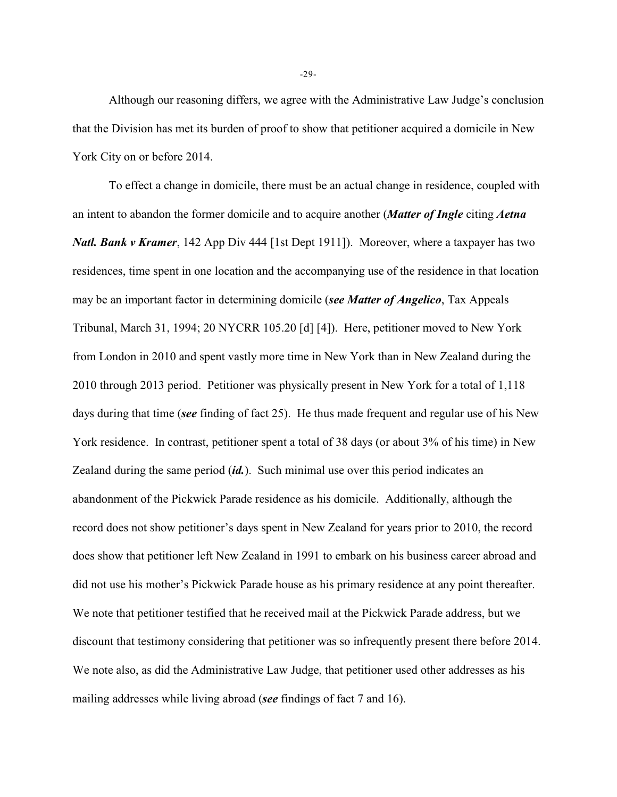Although our reasoning differs, we agree with the Administrative Law Judge's conclusion that the Division has met its burden of proof to show that petitioner acquired a domicile in New York City on or before 2014.

To effect a change in domicile, there must be an actual change in residence, coupled with an intent to abandon the former domicile and to acquire another (*Matter of Ingle* citing *Aetna Natl. Bank v Kramer*, 142 App Div 444 [1st Dept 1911]). Moreover, where a taxpayer has two residences, time spent in one location and the accompanying use of the residence in that location may be an important factor in determining domicile (*see Matter of Angelico*, Tax Appeals Tribunal, March 31, 1994; 20 NYCRR 105.20 [d] [4]). Here, petitioner moved to New York from London in 2010 and spent vastly more time in New York than in New Zealand during the 2010 through 2013 period. Petitioner was physically present in New York for a total of 1,118 days during that time (*see* finding of fact 25). He thus made frequent and regular use of his New York residence. In contrast, petitioner spent a total of 38 days (or about 3% of his time) in New Zealand during the same period (*id.*). Such minimal use over this period indicates an abandonment of the Pickwick Parade residence as his domicile. Additionally, although the record does not show petitioner's days spent in New Zealand for years prior to 2010, the record does show that petitioner left New Zealand in 1991 to embark on his business career abroad and did not use his mother's Pickwick Parade house as his primary residence at any point thereafter. We note that petitioner testified that he received mail at the Pickwick Parade address, but we discount that testimony considering that petitioner was so infrequently present there before 2014. We note also, as did the Administrative Law Judge, that petitioner used other addresses as his mailing addresses while living abroad (*see* findings of fact 7 and 16).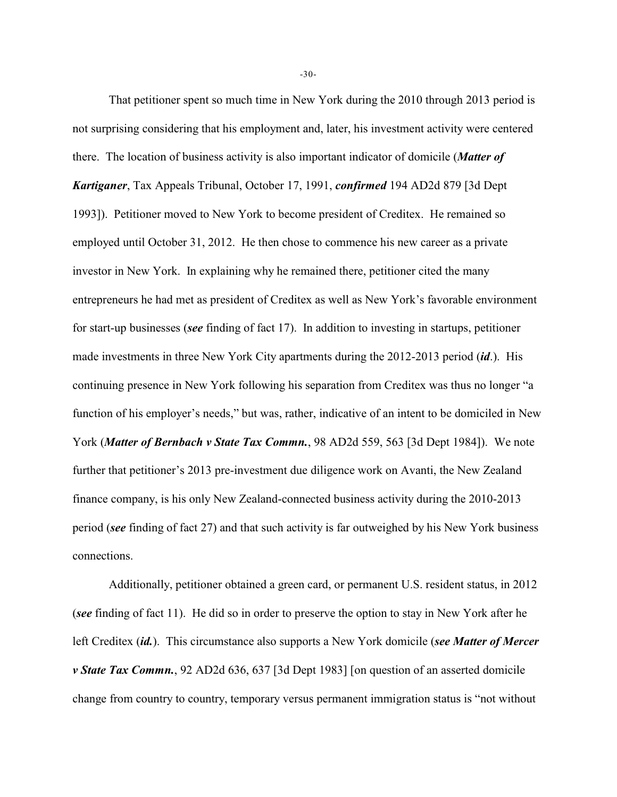That petitioner spent so much time in New York during the 2010 through 2013 period is not surprising considering that his employment and, later, his investment activity were centered there. The location of business activity is also important indicator of domicile (*Matter of Kartiganer*, Tax Appeals Tribunal, October 17, 1991, *confirmed* 194 AD2d 879 [3d Dept 1993]). Petitioner moved to New York to become president of Creditex. He remained so employed until October 31, 2012. He then chose to commence his new career as a private investor in New York. In explaining why he remained there, petitioner cited the many entrepreneurs he had met as president of Creditex as well as New York's favorable environment for start-up businesses (*see* finding of fact 17). In addition to investing in startups, petitioner made investments in three New York City apartments during the 2012-2013 period (*id*.). His continuing presence in New York following his separation from Creditex was thus no longer "a function of his employer's needs," but was, rather, indicative of an intent to be domiciled in New York (*Matter of Bernbach v State Tax Commn.*, 98 AD2d 559, 563 [3d Dept 1984]). We note further that petitioner's 2013 pre-investment due diligence work on Avanti, the New Zealand finance company, is his only New Zealand-connected business activity during the 2010-2013 period (*see* finding of fact 27) and that such activity is far outweighed by his New York business connections.

Additionally, petitioner obtained a green card, or permanent U.S. resident status, in 2012 (*see* finding of fact 11). He did so in order to preserve the option to stay in New York after he left Creditex (*id.*). This circumstance also supports a New York domicile (*see Matter of Mercer v State Tax Commn.*, 92 AD2d 636, 637 [3d Dept 1983] [on question of an asserted domicile change from country to country, temporary versus permanent immigration status is "not without

-30-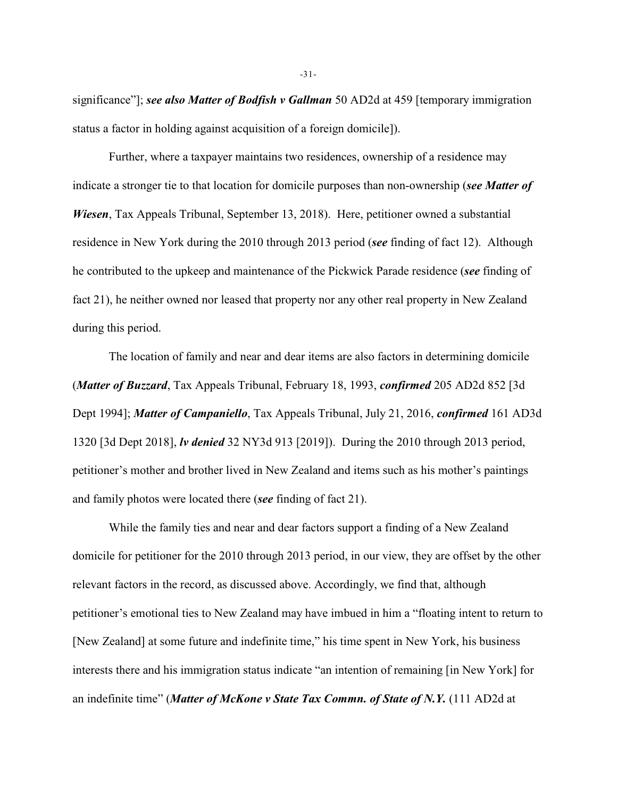significance"]; *see also Matter of Bodfish v Gallman* 50 AD2d at 459 [temporary immigration status a factor in holding against acquisition of a foreign domicile]).

Further, where a taxpayer maintains two residences, ownership of a residence may indicate a stronger tie to that location for domicile purposes than non-ownership (*see Matter of Wiesen*, Tax Appeals Tribunal, September 13, 2018). Here, petitioner owned a substantial residence in New York during the 2010 through 2013 period (*see* finding of fact 12). Although he contributed to the upkeep and maintenance of the Pickwick Parade residence (*see* finding of fact 21), he neither owned nor leased that property nor any other real property in New Zealand during this period.

The location of family and near and dear items are also factors in determining domicile (*Matter of Buzzard*, Tax Appeals Tribunal, February 18, 1993, *confirmed* 205 AD2d 852 [3d Dept 1994]; *Matter of Campaniello*, Tax Appeals Tribunal, July 21, 2016, *confirmed* 161 AD3d 1320 [3d Dept 2018], *lv denied* 32 NY3d 913 [2019]). During the 2010 through 2013 period, petitioner's mother and brother lived in New Zealand and items such as his mother's paintings and family photos were located there (*see* finding of fact 21).

While the family ties and near and dear factors support a finding of a New Zealand domicile for petitioner for the 2010 through 2013 period, in our view, they are offset by the other relevant factors in the record, as discussed above. Accordingly, we find that, although petitioner's emotional ties to New Zealand may have imbued in him a "floating intent to return to [New Zealand] at some future and indefinite time," his time spent in New York, his business interests there and his immigration status indicate "an intention of remaining [in New York] for an indefinite time" (*Matter of McKone v State Tax Commn. of State of N.Y.* (111 AD2d at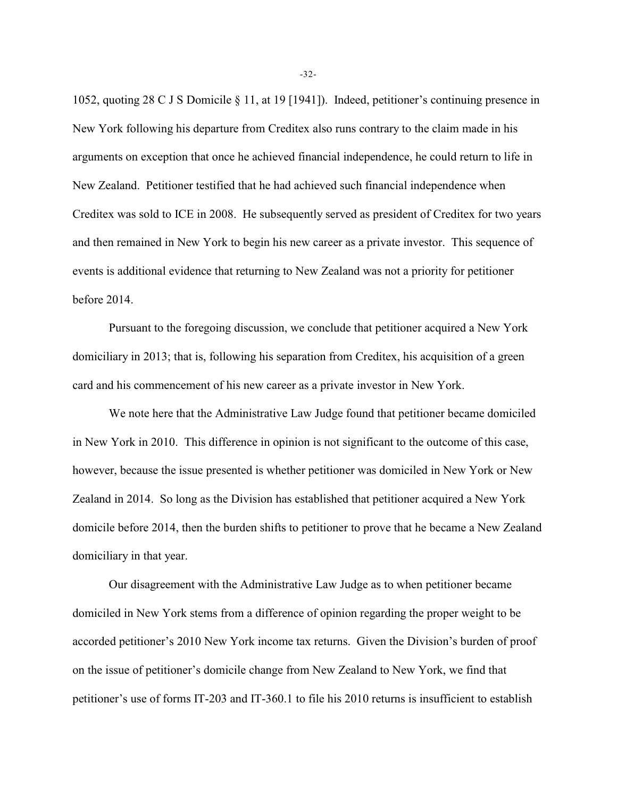1052, quoting 28 C J S Domicile § 11, at 19 [1941]). Indeed, petitioner's continuing presence in New York following his departure from Creditex also runs contrary to the claim made in his arguments on exception that once he achieved financial independence, he could return to life in New Zealand. Petitioner testified that he had achieved such financial independence when Creditex was sold to ICE in 2008. He subsequently served as president of Creditex for two years and then remained in New York to begin his new career as a private investor. This sequence of events is additional evidence that returning to New Zealand was not a priority for petitioner before 2014.

Pursuant to the foregoing discussion, we conclude that petitioner acquired a New York domiciliary in 2013; that is, following his separation from Creditex, his acquisition of a green card and his commencement of his new career as a private investor in New York.

We note here that the Administrative Law Judge found that petitioner became domiciled in New York in 2010. This difference in opinion is not significant to the outcome of this case, however, because the issue presented is whether petitioner was domiciled in New York or New Zealand in 2014. So long as the Division has established that petitioner acquired a New York domicile before 2014, then the burden shifts to petitioner to prove that he became a New Zealand domiciliary in that year.

Our disagreement with the Administrative Law Judge as to when petitioner became domiciled in New York stems from a difference of opinion regarding the proper weight to be accorded petitioner's 2010 New York income tax returns. Given the Division's burden of proof on the issue of petitioner's domicile change from New Zealand to New York, we find that petitioner's use of forms IT-203 and IT-360.1 to file his 2010 returns is insufficient to establish

-32-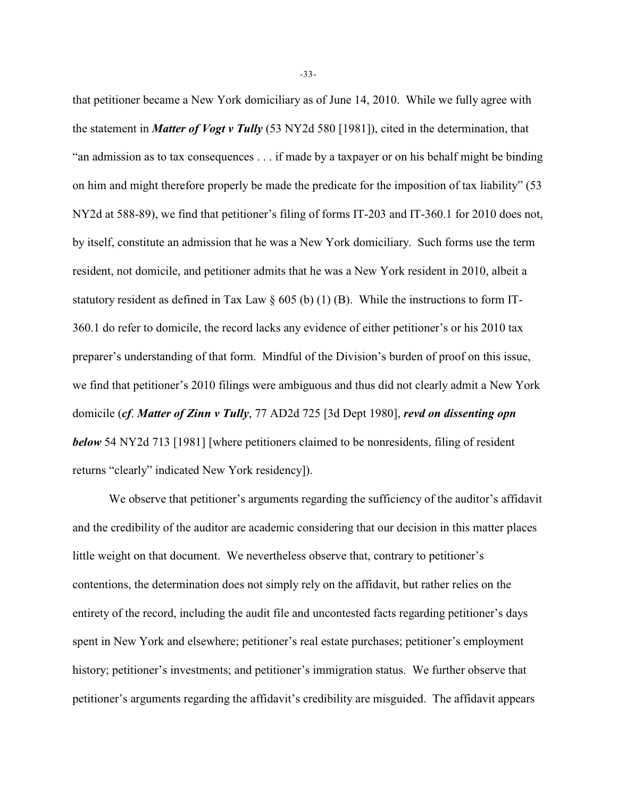that petitioner became a New York domiciliary as of June 14, 2010. While we fully agree with the statement in *Matter of Vogt v Tully* (53 NY2d 580 [1981]), cited in the determination, that "an admission as to tax consequences . . . if made by a taxpayer or on his behalf might be binding on him and might therefore properly be made the predicate for the imposition of tax liability" (53 NY2d at 588-89), we find that petitioner's filing of forms IT-203 and IT-360.1 for 2010 does not, by itself, constitute an admission that he was a New York domiciliary. Such forms use the term resident, not domicile, and petitioner admits that he was a New York resident in 2010, albeit a statutory resident as defined in Tax Law  $\S$  605 (b) (1) (B). While the instructions to form IT-360.1 do refer to domicile, the record lacks any evidence of either petitioner's or his 2010 tax preparer's understanding of that form. Mindful of the Division's burden of proof on this issue, we find that petitioner's 2010 filings were ambiguous and thus did not clearly admit a New York domicile (*cf*. *Matter of Zinn v Tully*, 77 AD2d 725 [3d Dept 1980], *revd on dissenting opn below* 54 NY2d 713 [1981] [where petitioners claimed to be nonresidents, filing of resident returns "clearly" indicated New York residency]).

We observe that petitioner's arguments regarding the sufficiency of the auditor's affidavit and the credibility of the auditor are academic considering that our decision in this matter places little weight on that document. We nevertheless observe that, contrary to petitioner's contentions, the determination does not simply rely on the affidavit, but rather relies on the entirety of the record, including the audit file and uncontested facts regarding petitioner's days spent in New York and elsewhere; petitioner's real estate purchases; petitioner's employment history; petitioner's investments; and petitioner's immigration status. We further observe that petitioner's arguments regarding the affidavit's credibility are misguided. The affidavit appears

-33-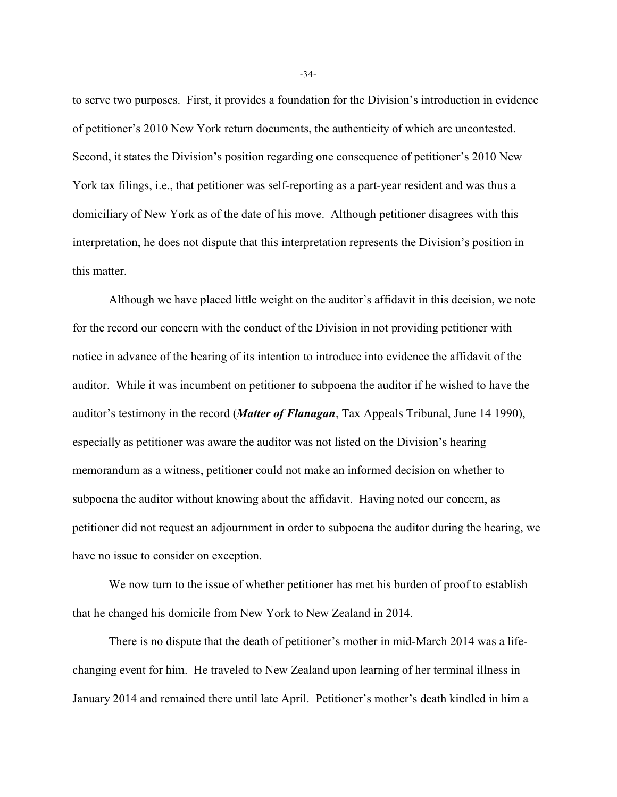to serve two purposes. First, it provides a foundation for the Division's introduction in evidence of petitioner's 2010 New York return documents, the authenticity of which are uncontested. Second, it states the Division's position regarding one consequence of petitioner's 2010 New York tax filings, i.e., that petitioner was self-reporting as a part-year resident and was thus a domiciliary of New York as of the date of his move. Although petitioner disagrees with this interpretation, he does not dispute that this interpretation represents the Division's position in this matter.

Although we have placed little weight on the auditor's affidavit in this decision, we note for the record our concern with the conduct of the Division in not providing petitioner with notice in advance of the hearing of its intention to introduce into evidence the affidavit of the auditor. While it was incumbent on petitioner to subpoena the auditor if he wished to have the auditor's testimony in the record (*Matter of Flanagan*, Tax Appeals Tribunal, June 14 1990), especially as petitioner was aware the auditor was not listed on the Division's hearing memorandum as a witness, petitioner could not make an informed decision on whether to subpoena the auditor without knowing about the affidavit. Having noted our concern, as petitioner did not request an adjournment in order to subpoena the auditor during the hearing, we have no issue to consider on exception.

We now turn to the issue of whether petitioner has met his burden of proof to establish that he changed his domicile from New York to New Zealand in 2014.

There is no dispute that the death of petitioner's mother in mid-March 2014 was a lifechanging event for him. He traveled to New Zealand upon learning of her terminal illness in January 2014 and remained there until late April. Petitioner's mother's death kindled in him a

-34-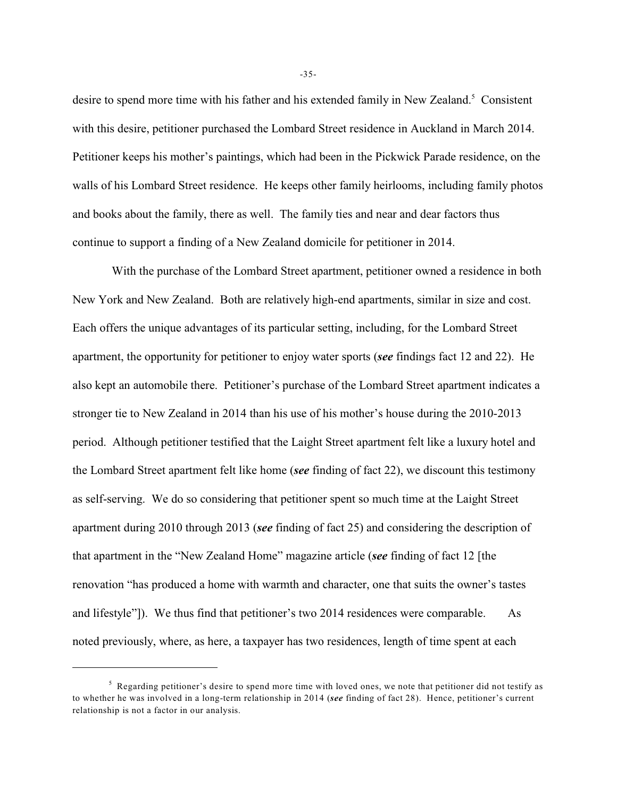desire to spend more time with his father and his extended family in New Zealand.<sup>5</sup> Consistent with this desire, petitioner purchased the Lombard Street residence in Auckland in March 2014. Petitioner keeps his mother's paintings, which had been in the Pickwick Parade residence, on the walls of his Lombard Street residence. He keeps other family heirlooms, including family photos and books about the family, there as well. The family ties and near and dear factors thus continue to support a finding of a New Zealand domicile for petitioner in 2014.

 With the purchase of the Lombard Street apartment, petitioner owned a residence in both New York and New Zealand. Both are relatively high-end apartments, similar in size and cost. Each offers the unique advantages of its particular setting, including, for the Lombard Street apartment, the opportunity for petitioner to enjoy water sports (*see* findings fact 12 and 22). He also kept an automobile there. Petitioner's purchase of the Lombard Street apartment indicates a stronger tie to New Zealand in 2014 than his use of his mother's house during the 2010-2013 period. Although petitioner testified that the Laight Street apartment felt like a luxury hotel and the Lombard Street apartment felt like home (*see* finding of fact 22), we discount this testimony as self-serving. We do so considering that petitioner spent so much time at the Laight Street apartment during 2010 through 2013 (*see* finding of fact 25) and considering the description of that apartment in the "New Zealand Home" magazine article (*see* finding of fact 12 [the renovation "has produced a home with warmth and character, one that suits the owner's tastes and lifestyle"]). We thus find that petitioner's two 2014 residences were comparable. As noted previously, where, as here, a taxpayer has two residences, length of time spent at each

-35-

 $<sup>5</sup>$  Regarding petitioner's desire to spend more time with loved ones, we note that petitioner did not testify as</sup> to whether he was involved in a long-term relationship in 2014 (*see* finding of fact 28). Hence, petitioner's current relationship is not a factor in our analysis.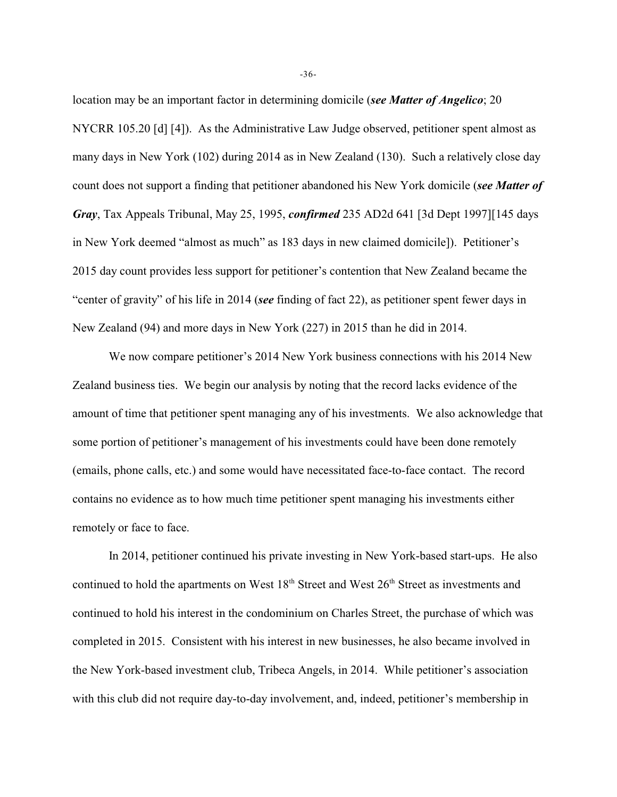location may be an important factor in determining domicile (*see Matter of Angelico*; 20 NYCRR 105.20 [d] [4]). As the Administrative Law Judge observed, petitioner spent almost as many days in New York (102) during 2014 as in New Zealand (130). Such a relatively close day count does not support a finding that petitioner abandoned his New York domicile (*see Matter of Gray*, Tax Appeals Tribunal, May 25, 1995, *confirmed* 235 AD2d 641 [3d Dept 1997][145 days in New York deemed "almost as much" as 183 days in new claimed domicile]). Petitioner's 2015 day count provides less support for petitioner's contention that New Zealand became the "center of gravity" of his life in 2014 (*see* finding of fact 22), as petitioner spent fewer days in New Zealand (94) and more days in New York (227) in 2015 than he did in 2014.

We now compare petitioner's 2014 New York business connections with his 2014 New Zealand business ties. We begin our analysis by noting that the record lacks evidence of the amount of time that petitioner spent managing any of his investments. We also acknowledge that some portion of petitioner's management of his investments could have been done remotely (emails, phone calls, etc.) and some would have necessitated face-to-face contact. The record contains no evidence as to how much time petitioner spent managing his investments either remotely or face to face.

In 2014, petitioner continued his private investing in New York-based start-ups. He also continued to hold the apartments on West  $18<sup>th</sup>$  Street and West  $26<sup>th</sup>$  Street as investments and continued to hold his interest in the condominium on Charles Street, the purchase of which was completed in 2015. Consistent with his interest in new businesses, he also became involved in the New York-based investment club, Tribeca Angels, in 2014. While petitioner's association with this club did not require day-to-day involvement, and, indeed, petitioner's membership in

-36-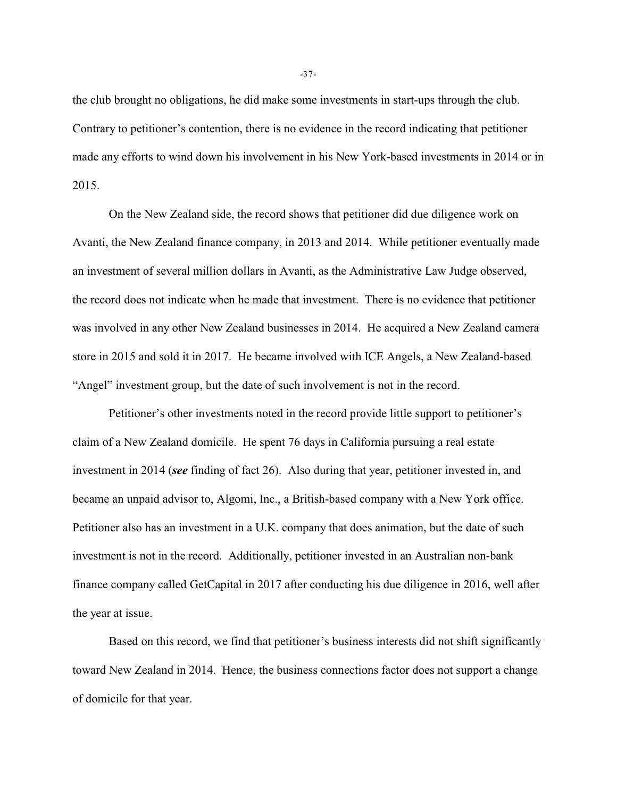the club brought no obligations, he did make some investments in start-ups through the club. Contrary to petitioner's contention, there is no evidence in the record indicating that petitioner made any efforts to wind down his involvement in his New York-based investments in 2014 or in 2015.

On the New Zealand side, the record shows that petitioner did due diligence work on Avanti, the New Zealand finance company, in 2013 and 2014. While petitioner eventually made an investment of several million dollars in Avanti, as the Administrative Law Judge observed, the record does not indicate when he made that investment. There is no evidence that petitioner was involved in any other New Zealand businesses in 2014. He acquired a New Zealand camera store in 2015 and sold it in 2017. He became involved with ICE Angels, a New Zealand-based "Angel" investment group, but the date of such involvement is not in the record.

Petitioner's other investments noted in the record provide little support to petitioner's claim of a New Zealand domicile. He spent 76 days in California pursuing a real estate investment in 2014 (*see* finding of fact 26). Also during that year, petitioner invested in, and became an unpaid advisor to, Algomi, Inc., a British-based company with a New York office. Petitioner also has an investment in a U.K. company that does animation, but the date of such investment is not in the record. Additionally, petitioner invested in an Australian non-bank finance company called GetCapital in 2017 after conducting his due diligence in 2016, well after the year at issue.

Based on this record, we find that petitioner's business interests did not shift significantly toward New Zealand in 2014. Hence, the business connections factor does not support a change of domicile for that year.

-37-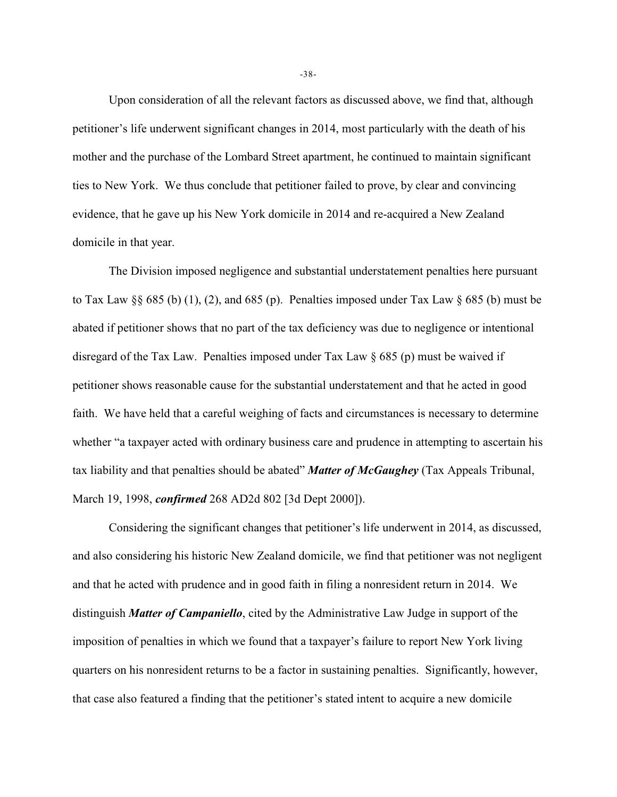Upon consideration of all the relevant factors as discussed above, we find that, although petitioner's life underwent significant changes in 2014, most particularly with the death of his mother and the purchase of the Lombard Street apartment, he continued to maintain significant ties to New York. We thus conclude that petitioner failed to prove, by clear and convincing evidence, that he gave up his New York domicile in 2014 and re-acquired a New Zealand domicile in that year.

The Division imposed negligence and substantial understatement penalties here pursuant to Tax Law §§ 685 (b) (1), (2), and 685 (p). Penalties imposed under Tax Law § 685 (b) must be abated if petitioner shows that no part of the tax deficiency was due to negligence or intentional disregard of the Tax Law. Penalties imposed under Tax Law  $\S$  685 (p) must be waived if petitioner shows reasonable cause for the substantial understatement and that he acted in good faith. We have held that a careful weighing of facts and circumstances is necessary to determine whether "a taxpayer acted with ordinary business care and prudence in attempting to ascertain his tax liability and that penalties should be abated" *Matter of McGaughey* (Tax Appeals Tribunal, March 19, 1998, *confirmed* 268 AD2d 802 [3d Dept 2000]).

Considering the significant changes that petitioner's life underwent in 2014, as discussed, and also considering his historic New Zealand domicile, we find that petitioner was not negligent and that he acted with prudence and in good faith in filing a nonresident return in 2014. We distinguish *Matter of Campaniello*, cited by the Administrative Law Judge in support of the imposition of penalties in which we found that a taxpayer's failure to report New York living quarters on his nonresident returns to be a factor in sustaining penalties. Significantly, however, that case also featured a finding that the petitioner's stated intent to acquire a new domicile

-38-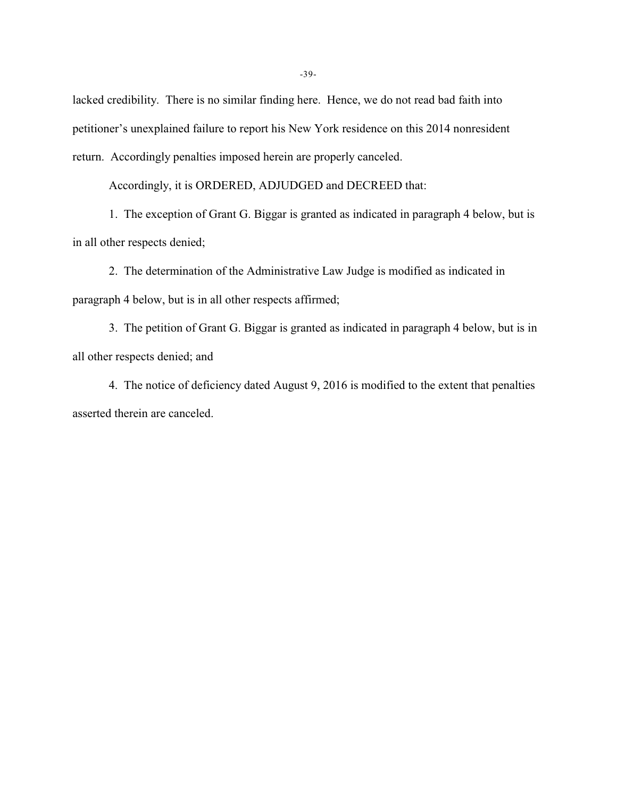lacked credibility. There is no similar finding here. Hence, we do not read bad faith into petitioner's unexplained failure to report his New York residence on this 2014 nonresident return. Accordingly penalties imposed herein are properly canceled.

Accordingly, it is ORDERED, ADJUDGED and DECREED that:

1. The exception of Grant G. Biggar is granted as indicated in paragraph 4 below, but is in all other respects denied;

2. The determination of the Administrative Law Judge is modified as indicated in paragraph 4 below, but is in all other respects affirmed;

3. The petition of Grant G. Biggar is granted as indicated in paragraph 4 below, but is in all other respects denied; and

4. The notice of deficiency dated August 9, 2016 is modified to the extent that penalties asserted therein are canceled.